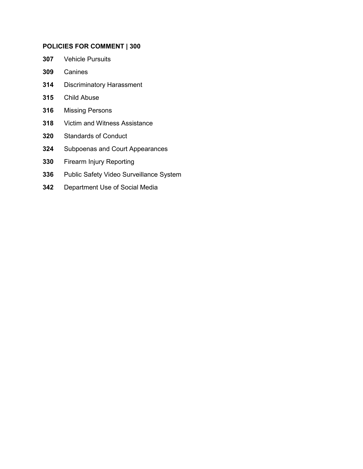## **POLICIES FOR COMMENT | 300**

- [Vehicle Pursuits](#page-1-0)
- [Canines](#page-15-0)
- [Discriminatory Harassment](#page-24-0)
- [Child Abuse](#page-29-0)
- [Missing Persons](#page-36-0)
- [Victim and Witness Assistance](#page-43-0)
- [Standards of Conduct](#page-46-0)
- [Subpoenas and Court Appearances](#page-53-0)
- [Firearm Injury Reporting](#page-56-0)
- [Public Safety Video Surveillance System](#page-57-0)
- [Department Use of Social Media](#page-61-0)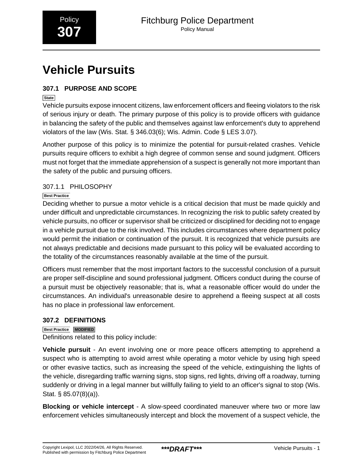# <span id="page-1-0"></span>**Vehicle Pursuits**

## **307.1 PURPOSE AND SCOPE**

**State**

Vehicle pursuits expose innocent citizens, law enforcement officers and fleeing violators to the risk of serious injury or death. The primary purpose of this policy is to provide officers with guidance in balancing the safety of the public and themselves against law enforcement's duty to apprehend violators of the law (Wis. Stat. § 346.03(6); Wis. Admin. Code § LES 3.07).

Another purpose of this policy is to minimize the potential for pursuit-related crashes. Vehicle pursuits require officers to exhibit a high degree of common sense and sound judgment. Officers must not forget that the immediate apprehension of a suspect is generally not more important than the safety of the public and pursuing officers.

## 307.1.1 PHILOSOPHY

## **Best Practice**

Deciding whether to pursue a motor vehicle is a critical decision that must be made quickly and under difficult and unpredictable circumstances. In recognizing the risk to public safety created by vehicle pursuits, no officer or supervisor shall be criticized or disciplined for deciding not to engage in a vehicle pursuit due to the risk involved. This includes circumstances where department policy would permit the initiation or continuation of the pursuit. It is recognized that vehicle pursuits are not always predictable and decisions made pursuant to this policy will be evaluated according to the totality of the circumstances reasonably available at the time of the pursuit.

Officers must remember that the most important factors to the successful conclusion of a pursuit are proper self-discipline and sound professional judgment. Officers conduct during the course of a pursuit must be objectively reasonable; that is, what a reasonable officer would do under the circumstances. An individual's unreasonable desire to apprehend a fleeing suspect at all costs has no place in professional law enforcement.

## **307.2 DEFINITIONS**

**Best Practice MODIFIED**

Definitions related to this policy include:

**Vehicle pursuit** - An event involving one or more peace officers attempting to apprehend a suspect who is attempting to avoid arrest while operating a motor vehicle by using high speed or other evasive tactics, such as increasing the speed of the vehicle, extinguishing the lights of the vehicle, disregarding traffic warning signs, stop signs, red lights, driving off a roadway, turning suddenly or driving in a legal manner but willfully failing to yield to an officer's signal to stop (Wis. Stat. § 85.07(8)(a)).

**Blocking or vehicle intercept** - A slow-speed coordinated maneuver where two or more law enforcement vehicles simultaneously intercept and block the movement of a suspect vehicle, the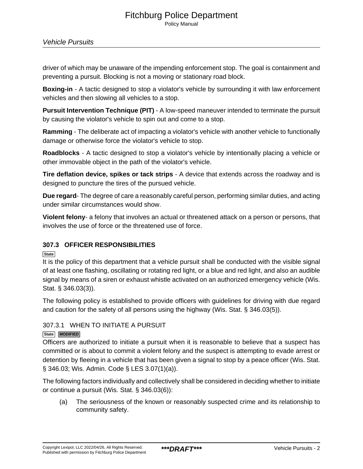## Fitchburg Police Department Policy Manual

driver of which may be unaware of the impending enforcement stop. The goal is containment and preventing a pursuit. Blocking is not a moving or stationary road block.

**Boxing-in** - A tactic designed to stop a violator's vehicle by surrounding it with law enforcement vehicles and then slowing all vehicles to a stop.

**Pursuit Intervention Technique (PIT)** - A low-speed maneuver intended to terminate the pursuit by causing the violator's vehicle to spin out and come to a stop.

**Ramming** - The deliberate act of impacting a violator's vehicle with another vehicle to functionally damage or otherwise force the violator's vehicle to stop.

**Roadblocks** - A tactic designed to stop a violator's vehicle by intentionally placing a vehicle or other immovable object in the path of the violator's vehicle.

**Tire deflation device, spikes or tack strips** - A device that extends across the roadway and is designed to puncture the tires of the pursued vehicle.

**Due regard**- The degree of care a reasonably careful person, performing similar duties, and acting under similar circumstances would show.

**Violent felony**- a felony that involves an actual or threatened attack on a person or persons, that involves the use of force or the threatened use of force.

## **307.3 OFFICER RESPONSIBILITIES**

**State**

It is the policy of this department that a vehicle pursuit shall be conducted with the visible signal of at least one flashing, oscillating or rotating red light, or a blue and red light, and also an audible signal by means of a siren or exhaust whistle activated on an authorized emergency vehicle (Wis. Stat. § 346.03(3)).

The following policy is established to provide officers with guidelines for driving with due regard and caution for the safety of all persons using the highway (Wis. Stat. § 346.03(5)).

## 307.3.1 WHEN TO INITIATE A PURSUIT

**State MODIFIED**

Officers are authorized to initiate a pursuit when it is reasonable to believe that a suspect has committed or is about to commit a violent felony and the suspect is attempting to evade arrest or detention by fleeing in a vehicle that has been given a signal to stop by a peace officer (Wis. Stat. § 346.03; Wis. Admin. Code § LES 3.07(1)(a)).

The following factors individually and collectively shall be considered in deciding whether to initiate or continue a pursuit (Wis. Stat. § 346.03(6)):

(a) The seriousness of the known or reasonably suspected crime and its relationship to community safety.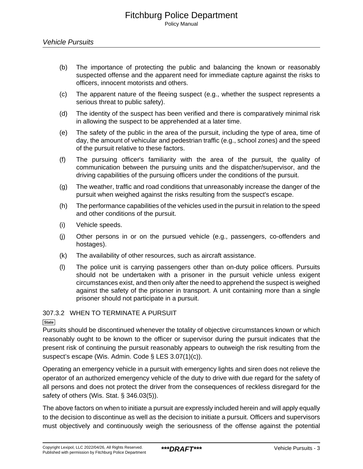- (b) The importance of protecting the public and balancing the known or reasonably suspected offense and the apparent need for immediate capture against the risks to officers, innocent motorists and others.
- (c) The apparent nature of the fleeing suspect (e.g., whether the suspect represents a serious threat to public safety).
- (d) The identity of the suspect has been verified and there is comparatively minimal risk in allowing the suspect to be apprehended at a later time.
- (e) The safety of the public in the area of the pursuit, including the type of area, time of day, the amount of vehicular and pedestrian traffic (e.g., school zones) and the speed of the pursuit relative to these factors.
- (f) The pursuing officer's familiarity with the area of the pursuit, the quality of communication between the pursuing units and the dispatcher/supervisor, and the driving capabilities of the pursuing officers under the conditions of the pursuit.
- (g) The weather, traffic and road conditions that unreasonably increase the danger of the pursuit when weighed against the risks resulting from the suspect's escape.
- (h) The performance capabilities of the vehicles used in the pursuit in relation to the speed and other conditions of the pursuit.
- (i) Vehicle speeds.
- (j) Other persons in or on the pursued vehicle (e.g., passengers, co-offenders and hostages).
- (k) The availability of other resources, such as aircraft assistance.
- (l) The police unit is carrying passengers other than on-duty police officers. Pursuits should not be undertaken with a prisoner in the pursuit vehicle unless exigent circumstances exist, and then only after the need to apprehend the suspect is weighed against the safety of the prisoner in transport. A unit containing more than a single prisoner should not participate in a pursuit.

## 307.3.2 WHEN TO TERMINATE A PURSUIT

## **State**

Pursuits should be discontinued whenever the totality of objective circumstances known or which reasonably ought to be known to the officer or supervisor during the pursuit indicates that the present risk of continuing the pursuit reasonably appears to outweigh the risk resulting from the suspect's escape (Wis. Admin. Code § LES 3.07(1)(c)).

Operating an emergency vehicle in a pursuit with emergency lights and siren does not relieve the operator of an authorized emergency vehicle of the duty to drive with due regard for the safety of all persons and does not protect the driver from the consequences of reckless disregard for the safety of others (Wis. Stat. § 346.03(5)).

The above factors on when to initiate a pursuit are expressly included herein and will apply equally to the decision to discontinue as well as the decision to initiate a pursuit. Officers and supervisors must objectively and continuously weigh the seriousness of the offense against the potential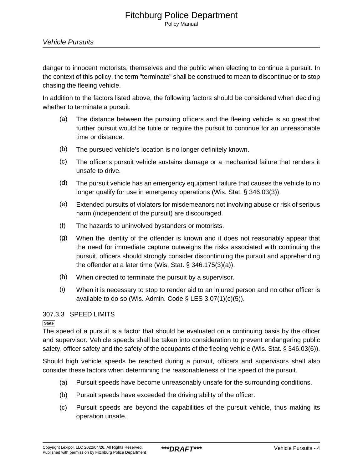Policy Manual

danger to innocent motorists, themselves and the public when electing to continue a pursuit. In the context of this policy, the term "terminate" shall be construed to mean to discontinue or to stop chasing the fleeing vehicle.

In addition to the factors listed above, the following factors should be considered when deciding whether to terminate a pursuit:

- (a) The distance between the pursuing officers and the fleeing vehicle is so great that further pursuit would be futile or require the pursuit to continue for an unreasonable time or distance.
- (b) The pursued vehicle's location is no longer definitely known.
- (c) The officer's pursuit vehicle sustains damage or a mechanical failure that renders it unsafe to drive.
- (d) The pursuit vehicle has an emergency equipment failure that causes the vehicle to no longer qualify for use in emergency operations (Wis. Stat. § 346.03(3)).
- (e) Extended pursuits of violators for misdemeanors not involving abuse or risk of serious harm (independent of the pursuit) are discouraged.
- (f) The hazards to uninvolved bystanders or motorists.
- (g) When the identity of the offender is known and it does not reasonably appear that the need for immediate capture outweighs the risks associated with continuing the pursuit, officers should strongly consider discontinuing the pursuit and apprehending the offender at a later time (Wis. Stat. § 346.175(3)(a)).
- (h) When directed to terminate the pursuit by a supervisor.
- (i) When it is necessary to stop to render aid to an injured person and no other officer is available to do so (Wis. Admin. Code  $\S$  LES 3.07(1)(c)(5)).

## 307.3.3 SPEED LIMITS

## **State**

The speed of a pursuit is a factor that should be evaluated on a continuing basis by the officer and supervisor. Vehicle speeds shall be taken into consideration to prevent endangering public safety, officer safety and the safety of the occupants of the fleeing vehicle (Wis. Stat. § 346.03(6)).

Should high vehicle speeds be reached during a pursuit, officers and supervisors shall also consider these factors when determining the reasonableness of the speed of the pursuit.

- (a) Pursuit speeds have become unreasonably unsafe for the surrounding conditions.
- (b) Pursuit speeds have exceeded the driving ability of the officer.
- (c) Pursuit speeds are beyond the capabilities of the pursuit vehicle, thus making its operation unsafe.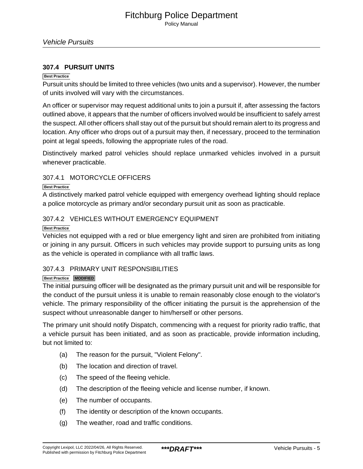## **307.4 PURSUIT UNITS**

### **Best Practice**

Pursuit units should be limited to three vehicles (two units and a supervisor). However, the number of units involved will vary with the circumstances.

An officer or supervisor may request additional units to join a pursuit if, after assessing the factors outlined above, it appears that the number of officers involved would be insufficient to safely arrest the suspect. All other officers shall stay out of the pursuit but should remain alert to its progress and location. Any officer who drops out of a pursuit may then, if necessary, proceed to the termination point at legal speeds, following the appropriate rules of the road.

Distinctively marked patrol vehicles should replace unmarked vehicles involved in a pursuit whenever practicable.

## 307.4.1 MOTORCYCLE OFFICERS

#### **Best Practice**

A distinctively marked patrol vehicle equipped with emergency overhead lighting should replace a police motorcycle as primary and/or secondary pursuit unit as soon as practicable.

## 307.4.2 VEHICLES WITHOUT EMERGENCY EQUIPMENT

#### **Best Practice**

Vehicles not equipped with a red or blue emergency light and siren are prohibited from initiating or joining in any pursuit. Officers in such vehicles may provide support to pursuing units as long as the vehicle is operated in compliance with all traffic laws.

## 307.4.3 PRIMARY UNIT RESPONSIBILITIES

## **Best Practice MODIFIED**

The initial pursuing officer will be designated as the primary pursuit unit and will be responsible for the conduct of the pursuit unless it is unable to remain reasonably close enough to the violator's vehicle. The primary responsibility of the officer initiating the pursuit is the apprehension of the suspect without unreasonable danger to him/herself or other persons.

The primary unit should notify Dispatch, commencing with a request for priority radio traffic, that a vehicle pursuit has been initiated, and as soon as practicable, provide information including, but not limited to:

- (a) The reason for the pursuit, "Violent Felony".
- (b) The location and direction of travel.
- (c) The speed of the fleeing vehicle.
- (d) The description of the fleeing vehicle and license number, if known.
- (e) The number of occupants.
- (f) The identity or description of the known occupants.
- (g) The weather, road and traffic conditions.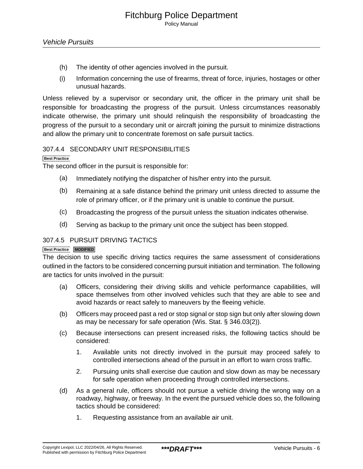- (h) The identity of other agencies involved in the pursuit.
- (i) Information concerning the use of firearms, threat of force, injuries, hostages or other unusual hazards.

Unless relieved by a supervisor or secondary unit, the officer in the primary unit shall be responsible for broadcasting the progress of the pursuit. Unless circumstances reasonably indicate otherwise, the primary unit should relinquish the responsibility of broadcasting the progress of the pursuit to a secondary unit or aircraft joining the pursuit to minimize distractions and allow the primary unit to concentrate foremost on safe pursuit tactics.

## 307.4.4 SECONDARY UNIT RESPONSIBILITIES

#### **Best Practice**

The second officer in the pursuit is responsible for:

- (a) Immediately notifying the dispatcher of his/her entry into the pursuit.
- (b) Remaining at a safe distance behind the primary unit unless directed to assume the role of primary officer, or if the primary unit is unable to continue the pursuit.
- (c) Broadcasting the progress of the pursuit unless the situation indicates otherwise.
- (d) Serving as backup to the primary unit once the subject has been stopped.

## 307.4.5 PURSUIT DRIVING TACTICS

#### **Best Practice MODIFIED**

The decision to use specific driving tactics requires the same assessment of considerations outlined in the factors to be considered concerning pursuit initiation and termination. The following are tactics for units involved in the pursuit:

- (a) Officers, considering their driving skills and vehicle performance capabilities, will space themselves from other involved vehicles such that they are able to see and avoid hazards or react safely to maneuvers by the fleeing vehicle.
- (b) Officers may proceed past a red or stop signal or stop sign but only after slowing down as may be necessary for safe operation (Wis. Stat. § 346.03(2)).
- (c) Because intersections can present increased risks, the following tactics should be considered:
	- 1. Available units not directly involved in the pursuit may proceed safely to controlled intersections ahead of the pursuit in an effort to warn cross traffic.
	- 2. Pursuing units shall exercise due caution and slow down as may be necessary for safe operation when proceeding through controlled intersections.
- (d) As a general rule, officers should not pursue a vehicle driving the wrong way on a roadway, highway, or freeway. In the event the pursued vehicle does so, the following tactics should be considered:
	- 1. Requesting assistance from an available air unit.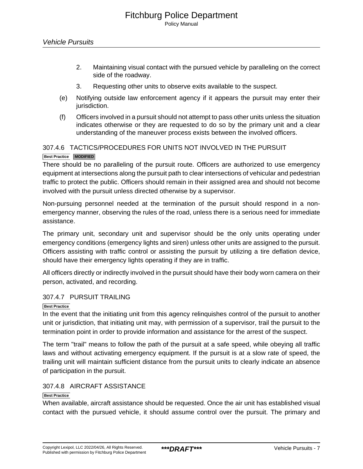- 2. Maintaining visual contact with the pursued vehicle by paralleling on the correct side of the roadway.
- 3. Requesting other units to observe exits available to the suspect.
- (e) Notifying outside law enforcement agency if it appears the pursuit may enter their jurisdiction.
- (f) Officers involved in a pursuit should not attempt to pass other units unless the situation indicates otherwise or they are requested to do so by the primary unit and a clear understanding of the maneuver process exists between the involved officers.

## 307.4.6 TACTICS/PROCEDURES FOR UNITS NOT INVOLVED IN THE PURSUIT

## **Best Practice MODIFIED**

There should be no paralleling of the pursuit route. Officers are authorized to use emergency equipment at intersections along the pursuit path to clear intersections of vehicular and pedestrian traffic to protect the public. Officers should remain in their assigned area and should not become involved with the pursuit unless directed otherwise by a supervisor.

Non-pursuing personnel needed at the termination of the pursuit should respond in a nonemergency manner, observing the rules of the road, unless there is a serious need for immediate assistance.

The primary unit, secondary unit and supervisor should be the only units operating under emergency conditions (emergency lights and siren) unless other units are assigned to the pursuit. Officers assisting with traffic control or assisting the pursuit by utilizing a tire deflation device, should have their emergency lights operating if they are in traffic.

All officers directly or indirectly involved in the pursuit should have their body worn camera on their person, activated, and recording.

### 307.4.7 PURSUIT TRAILING

#### **Best Practice**

In the event that the initiating unit from this agency relinquishes control of the pursuit to another unit or jurisdiction, that initiating unit may, with permission of a supervisor, trail the pursuit to the termination point in order to provide information and assistance for the arrest of the suspect.

The term "trail" means to follow the path of the pursuit at a safe speed, while obeying all traffic laws and without activating emergency equipment. If the pursuit is at a slow rate of speed, the trailing unit will maintain sufficient distance from the pursuit units to clearly indicate an absence of participation in the pursuit.

## 307.4.8 AIRCRAFT ASSISTANCE

#### **Best Practice**

When available, aircraft assistance should be requested. Once the air unit has established visual contact with the pursued vehicle, it should assume control over the pursuit. The primary and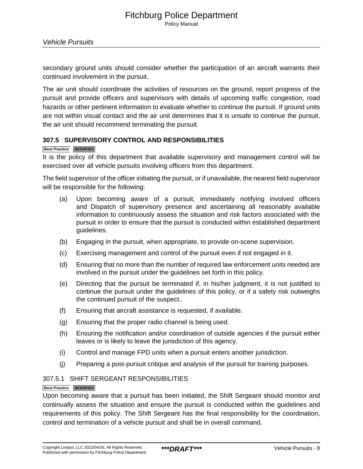secondary ground units should consider whether the participation of an aircraft warrants their continued involvement in the pursuit.

The air unit should coordinate the activities of resources on the ground, report progress of the pursuit and provide officers and supervisors with details of upcoming traffic congestion, road hazards or other pertinent information to evaluate whether to continue the pursuit. If ground units are not within visual contact and the air unit determines that it is unsafe to continue the pursuit, the air unit should recommend terminating the pursuit.

## **307.5 SUPERVISORY CONTROL AND RESPONSIBILITIES**

#### **Best Practice MODIFIED**

It is the policy of this department that available supervisory and management control will be exercised over all vehicle pursuits involving officers from this department.

The field supervisor of the officer initiating the pursuit, or if unavailable, the nearest field supervisor will be responsible for the following:

- (a) Upon becoming aware of a pursuit, immediately notifying involved officers and Dispatch of supervisory presence and ascertaining all reasonably available information to continuously assess the situation and risk factors associated with the pursuit in order to ensure that the pursuit is conducted within established department guidelines.
- (b) Engaging in the pursuit, when appropriate, to provide on-scene supervision.
- (c) Exercising management and control of the pursuit even if not engaged in it.
- (d) Ensuring that no more than the number of required law enforcement units needed are involved in the pursuit under the guidelines set forth in this policy.
- (e) Directing that the pursuit be terminated if, in his/her judgment, it is not justified to continue the pursuit under the guidelines of this policy, or if a safety risk outweighs the continued pursuit of the suspect..
- (f) Ensuring that aircraft assistance is requested, if available.
- (g) Ensuring that the proper radio channel is being used.
- (h) Ensuring the notification and/or coordination of outside agencies if the pursuit either leaves or is likely to leave the jurisdiction of this agency.
- (i) Control and manage FPD units when a pursuit enters another jurisdiction.
- (j) Preparing a post-pursuit critique and analysis of the pursuit for training purposes.

### 307.5.1 SHIFT SERGEANT RESPONSIBILITIES

### **Best Practice MODIFIED**

Upon becoming aware that a pursuit has been initiated, the Shift Sergeant should monitor and continually assess the situation and ensure the pursuit is conducted within the guidelines and requirements of this policy. The Shift Sergeant has the final responsibility for the coordination, control and termination of a vehicle pursuit and shall be in overall command.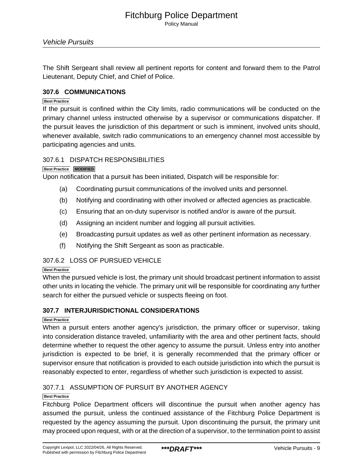The Shift Sergeant shall review all pertinent reports for content and forward them to the Patrol Lieutenant, Deputy Chief, and Chief of Police.

## **307.6 COMMUNICATIONS**

#### **Best Practice**

If the pursuit is confined within the City limits, radio communications will be conducted on the primary channel unless instructed otherwise by a supervisor or communications dispatcher. If the pursuit leaves the jurisdiction of this department or such is imminent, involved units should, whenever available, switch radio communications to an emergency channel most accessible by participating agencies and units.

## 307.6.1 DISPATCH RESPONSIBILITIES

#### **Best Practice MODIFIED**

Upon notification that a pursuit has been initiated, Dispatch will be responsible for:

- (a) Coordinating pursuit communications of the involved units and personnel.
- (b) Notifying and coordinating with other involved or affected agencies as practicable.
- (c) Ensuring that an on-duty supervisor is notified and/or is aware of the pursuit.
- (d) Assigning an incident number and logging all pursuit activities.
- (e) Broadcasting pursuit updates as well as other pertinent information as necessary.
- (f) Notifying the Shift Sergeant as soon as practicable.

## 307.6.2 LOSS OF PURSUED VEHICLE

### **Best Practice**

When the pursued vehicle is lost, the primary unit should broadcast pertinent information to assist other units in locating the vehicle. The primary unit will be responsible for coordinating any further search for either the pursued vehicle or suspects fleeing on foot.

## **307.7 INTERJURISDICTIONAL CONSIDERATIONS**

## **Best Practice**

When a pursuit enters another agency's jurisdiction, the primary officer or supervisor, taking into consideration distance traveled, unfamiliarity with the area and other pertinent facts, should determine whether to request the other agency to assume the pursuit. Unless entry into another jurisdiction is expected to be brief, it is generally recommended that the primary officer or supervisor ensure that notification is provided to each outside jurisdiction into which the pursuit is reasonably expected to enter, regardless of whether such jurisdiction is expected to assist.

## 307.7.1 ASSUMPTION OF PURSUIT BY ANOTHER AGENCY

#### **Best Practice**

Fitchburg Police Department officers will discontinue the pursuit when another agency has assumed the pursuit, unless the continued assistance of the Fitchburg Police Department is requested by the agency assuming the pursuit. Upon discontinuing the pursuit, the primary unit may proceed upon request, with or at the direction of a supervisor, to the termination point to assist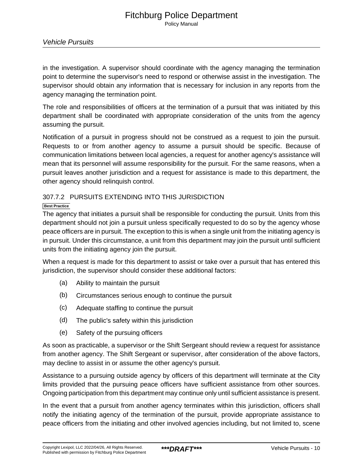in the investigation. A supervisor should coordinate with the agency managing the termination point to determine the supervisor's need to respond or otherwise assist in the investigation. The supervisor should obtain any information that is necessary for inclusion in any reports from the agency managing the termination point.

The role and responsibilities of officers at the termination of a pursuit that was initiated by this department shall be coordinated with appropriate consideration of the units from the agency assuming the pursuit.

Notification of a pursuit in progress should not be construed as a request to join the pursuit. Requests to or from another agency to assume a pursuit should be specific. Because of communication limitations between local agencies, a request for another agency's assistance will mean that its personnel will assume responsibility for the pursuit. For the same reasons, when a pursuit leaves another jurisdiction and a request for assistance is made to this department, the other agency should relinquish control.

## 307.7.2 PURSUITS EXTENDING INTO THIS JURISDICTION

## **Best Practice**

The agency that initiates a pursuit shall be responsible for conducting the pursuit. Units from this department should not join a pursuit unless specifically requested to do so by the agency whose peace officers are in pursuit. The exception to this is when a single unit from the initiating agency is in pursuit. Under this circumstance, a unit from this department may join the pursuit until sufficient units from the initiating agency join the pursuit.

When a request is made for this department to assist or take over a pursuit that has entered this jurisdiction, the supervisor should consider these additional factors:

- (a) Ability to maintain the pursuit
- (b) Circumstances serious enough to continue the pursuit
- (c) Adequate staffing to continue the pursuit
- (d) The public's safety within this jurisdiction
- (e) Safety of the pursuing officers

As soon as practicable, a supervisor or the Shift Sergeant should review a request for assistance from another agency. The Shift Sergeant or supervisor, after consideration of the above factors, may decline to assist in or assume the other agency's pursuit.

Assistance to a pursuing outside agency by officers of this department will terminate at the City limits provided that the pursuing peace officers have sufficient assistance from other sources. Ongoing participation from this department may continue only until sufficient assistance is present.

In the event that a pursuit from another agency terminates within this jurisdiction, officers shall notify the initiating agency of the termination of the pursuit, provide appropriate assistance to peace officers from the initiating and other involved agencies including, but not limited to, scene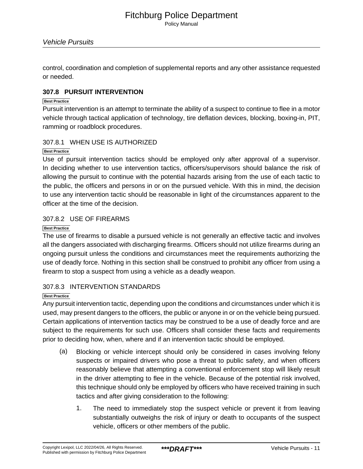control, coordination and completion of supplemental reports and any other assistance requested or needed.

## **307.8 PURSUIT INTERVENTION**

#### **Best Practice**

Pursuit intervention is an attempt to terminate the ability of a suspect to continue to flee in a motor vehicle through tactical application of technology, tire deflation devices, blocking, boxing-in, PIT, ramming or roadblock procedures.

## 307.8.1 WHEN USE IS AUTHORIZED

## **Best Practice**

Use of pursuit intervention tactics should be employed only after approval of a supervisor. In deciding whether to use intervention tactics, officers/supervisors should balance the risk of allowing the pursuit to continue with the potential hazards arising from the use of each tactic to the public, the officers and persons in or on the pursued vehicle. With this in mind, the decision to use any intervention tactic should be reasonable in light of the circumstances apparent to the officer at the time of the decision.

## 307.8.2 USE OF FIREARMS

## **Best Practice**

The use of firearms to disable a pursued vehicle is not generally an effective tactic and involves all the dangers associated with discharging firearms. Officers should not utilize firearms during an ongoing pursuit unless the conditions and circumstances meet the requirements authorizing the use of deadly force. Nothing in this section shall be construed to prohibit any officer from using a firearm to stop a suspect from using a vehicle as a deadly weapon.

## 307.8.3 INTERVENTION STANDARDS

## **Best Practice**

Any pursuit intervention tactic, depending upon the conditions and circumstances under which it is used, may present dangers to the officers, the public or anyone in or on the vehicle being pursued. Certain applications of intervention tactics may be construed to be a use of deadly force and are subject to the requirements for such use. Officers shall consider these facts and requirements prior to deciding how, when, where and if an intervention tactic should be employed.

- (a) Blocking or vehicle intercept should only be considered in cases involving felony suspects or impaired drivers who pose a threat to public safety, and when officers reasonably believe that attempting a conventional enforcement stop will likely result in the driver attempting to flee in the vehicle. Because of the potential risk involved, this technique should only be employed by officers who have received training in such tactics and after giving consideration to the following:
	- 1. The need to immediately stop the suspect vehicle or prevent it from leaving substantially outweighs the risk of injury or death to occupants of the suspect vehicle, officers or other members of the public.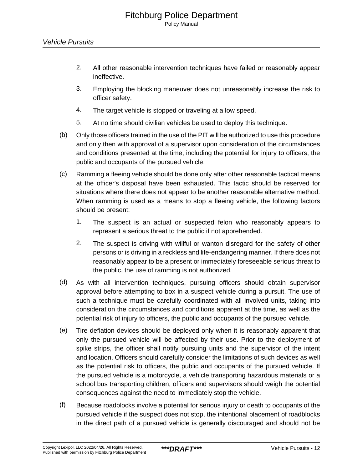- 2. All other reasonable intervention techniques have failed or reasonably appear ineffective.
- 3. Employing the blocking maneuver does not unreasonably increase the risk to officer safety.
- 4. The target vehicle is stopped or traveling at a low speed.
- 5. At no time should civilian vehicles be used to deploy this technique.
- (b) Only those officers trained in the use of the PIT will be authorized to use this procedure and only then with approval of a supervisor upon consideration of the circumstances and conditions presented at the time, including the potential for injury to officers, the public and occupants of the pursued vehicle.
- (c) Ramming a fleeing vehicle should be done only after other reasonable tactical means at the officer's disposal have been exhausted. This tactic should be reserved for situations where there does not appear to be another reasonable alternative method. When ramming is used as a means to stop a fleeing vehicle, the following factors should be present:
	- 1. The suspect is an actual or suspected felon who reasonably appears to represent a serious threat to the public if not apprehended.
	- 2. The suspect is driving with willful or wanton disregard for the safety of other persons or is driving in a reckless and life-endangering manner. If there does not reasonably appear to be a present or immediately foreseeable serious threat to the public, the use of ramming is not authorized.
- (d) As with all intervention techniques, pursuing officers should obtain supervisor approval before attempting to box in a suspect vehicle during a pursuit. The use of such a technique must be carefully coordinated with all involved units, taking into consideration the circumstances and conditions apparent at the time, as well as the potential risk of injury to officers, the public and occupants of the pursued vehicle.
- (e) Tire deflation devices should be deployed only when it is reasonably apparent that only the pursued vehicle will be affected by their use. Prior to the deployment of spike strips, the officer shall notify pursuing units and the supervisor of the intent and location. Officers should carefully consider the limitations of such devices as well as the potential risk to officers, the public and occupants of the pursued vehicle. If the pursued vehicle is a motorcycle, a vehicle transporting hazardous materials or a school bus transporting children, officers and supervisors should weigh the potential consequences against the need to immediately stop the vehicle.
- (f) Because roadblocks involve a potential for serious injury or death to occupants of the pursued vehicle if the suspect does not stop, the intentional placement of roadblocks in the direct path of a pursued vehicle is generally discouraged and should not be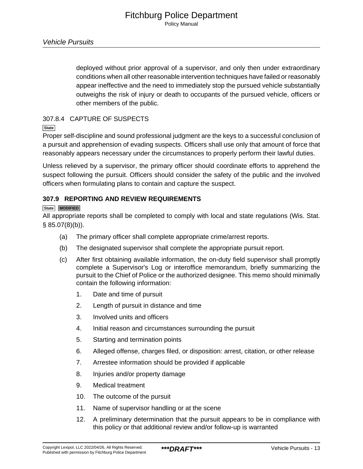deployed without prior approval of a supervisor, and only then under extraordinary conditions when all other reasonable intervention techniques have failed or reasonably appear ineffective and the need to immediately stop the pursued vehicle substantially outweighs the risk of injury or death to occupants of the pursued vehicle, officers or other members of the public.

## 307.8.4 CAPTURE OF SUSPECTS

**State**

Proper self-discipline and sound professional judgment are the keys to a successful conclusion of a pursuit and apprehension of evading suspects. Officers shall use only that amount of force that reasonably appears necessary under the circumstances to properly perform their lawful duties.

Unless relieved by a supervisor, the primary officer should coordinate efforts to apprehend the suspect following the pursuit. Officers should consider the safety of the public and the involved officers when formulating plans to contain and capture the suspect.

## **307.9 REPORTING AND REVIEW REQUIREMENTS**

#### **State MODIFIED**

All appropriate reports shall be completed to comply with local and state regulations (Wis. Stat. § 85.07(8)(b)).

- (a) The primary officer shall complete appropriate crime/arrest reports.
- (b) The designated supervisor shall complete the appropriate pursuit report.
- (c) After first obtaining available information, the on-duty field supervisor shall promptly complete a Supervisor's Log or interoffice memorandum, briefly summarizing the pursuit to the Chief of Police or the authorized designee. This memo should minimally contain the following information:
	- 1. Date and time of pursuit
	- 2. Length of pursuit in distance and time
	- 3. Involved units and officers
	- 4. Initial reason and circumstances surrounding the pursuit
	- 5. Starting and termination points
	- 6. Alleged offense, charges filed, or disposition: arrest, citation, or other release
	- 7. Arrestee information should be provided if applicable
	- 8. Injuries and/or property damage
	- 9. Medical treatment
	- 10. The outcome of the pursuit
	- 11. Name of supervisor handling or at the scene
	- 12. A preliminary determination that the pursuit appears to be in compliance with this policy or that additional review and/or follow-up is warranted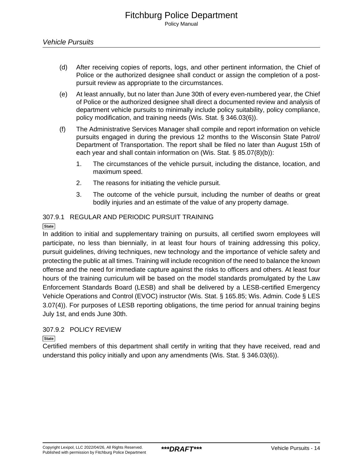- (d) After receiving copies of reports, logs, and other pertinent information, the Chief of Police or the authorized designee shall conduct or assign the completion of a postpursuit review as appropriate to the circumstances.
- (e) At least annually, but no later than June 30th of every even-numbered year, the Chief of Police or the authorized designee shall direct a documented review and analysis of department vehicle pursuits to minimally include policy suitability, policy compliance, policy modification, and training needs (Wis. Stat. § 346.03(6)).
- (f) The Administrative Services Manager shall compile and report information on vehicle pursuits engaged in during the previous 12 months to the Wisconsin State Patrol/ Department of Transportation. The report shall be filed no later than August 15th of each year and shall contain information on (Wis. Stat. § 85.07(8)(b)):
	- 1. The circumstances of the vehicle pursuit, including the distance, location, and maximum speed.
	- 2. The reasons for initiating the vehicle pursuit.
	- 3. The outcome of the vehicle pursuit, including the number of deaths or great bodily injuries and an estimate of the value of any property damage.

## 307.9.1 REGULAR AND PERIODIC PURSUIT TRAINING

## **State**

In addition to initial and supplementary training on pursuits, all certified sworn employees will participate, no less than biennially, in at least four hours of training addressing this policy, pursuit guidelines, driving techniques, new technology and the importance of vehicle safety and protecting the public at all times. Training will include recognition of the need to balance the known offense and the need for immediate capture against the risks to officers and others. At least four hours of the training curriculum will be based on the model standards promulgated by the Law Enforcement Standards Board (LESB) and shall be delivered by a LESB-certified Emergency Vehicle Operations and Control (EVOC) instructor (Wis. Stat. § 165.85; Wis. Admin. Code § LES 3.07(4)). For purposes of LESB reporting obligations, the time period for annual training begins July 1st, and ends June 30th.

## 307.9.2 POLICY REVIEW

#### **State**

Certified members of this department shall certify in writing that they have received, read and understand this policy initially and upon any amendments (Wis. Stat. § 346.03(6)).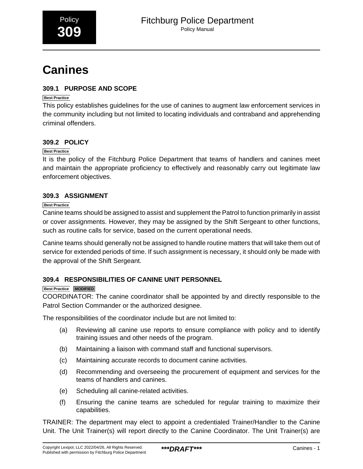# <span id="page-15-0"></span>**Canines**

## **309.1 PURPOSE AND SCOPE**

## **Best Practice**

This policy establishes guidelines for the use of canines to augment law enforcement services in the community including but not limited to locating individuals and contraband and apprehending criminal offenders.

## **309.2 POLICY**

## **Best Practice**

It is the policy of the Fitchburg Police Department that teams of handlers and canines meet and maintain the appropriate proficiency to effectively and reasonably carry out legitimate law enforcement objectives.

## **309.3 ASSIGNMENT**

## **Best Practice**

Canine teams should be assigned to assist and supplement the Patrol to function primarily in assist or cover assignments. However, they may be assigned by the Shift Sergeant to other functions, such as routine calls for service, based on the current operational needs.

Canine teams should generally not be assigned to handle routine matters that will take them out of service for extended periods of time. If such assignment is necessary, it should only be made with the approval of the Shift Sergeant.

## **309.4 RESPONSIBILITIES OF CANINE UNIT PERSONNEL**

## **Best Practice MODIFIED**

COORDINATOR: The canine coordinator shall be appointed by and directly responsible to the Patrol Section Commander or the authorized designee.

The responsibilities of the coordinator include but are not limited to:

- (a) Reviewing all canine use reports to ensure compliance with policy and to identify training issues and other needs of the program.
- (b) Maintaining a liaison with command staff and functional supervisors.
- (c) Maintaining accurate records to document canine activities.
- (d) Recommending and overseeing the procurement of equipment and services for the teams of handlers and canines.
- (e) Scheduling all canine-related activities.
- (f) Ensuring the canine teams are scheduled for regular training to maximize their capabilities.

TRAINER: The department may elect to appoint a credentialed Trainer/Handler to the Canine Unit. The Unit Trainer(s) will report directly to the Canine Coordinator. The Unit Trainer(s) are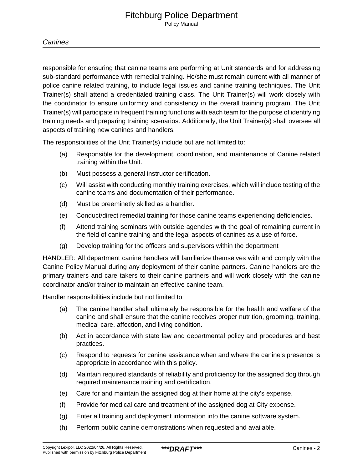responsible for ensuring that canine teams are performing at Unit standards and for addressing sub-standard performance with remedial training. He/she must remain current with all manner of police canine related training, to include legal issues and canine training techniques. The Unit Trainer(s) shall attend a credentialed training class. The Unit Trainer(s) will work closely with the coordinator to ensure uniformity and consistency in the overall training program. The Unit Trainer(s) will participate in frequent training functions with each team for the purpose of identifying training needs and preparing training scenarios. Additionally, the Unit Trainer(s) shall oversee all aspects of training new canines and handlers.

The responsibilities of the Unit Trainer(s) include but are not limited to:

- (a) Responsible for the development, coordination, and maintenance of Canine related training within the Unit.
- (b) Must possess a general instructor certification.
- (c) Will assist with conducting monthly training exercises, which will include testing of the canine teams and documentation of their performance.
- (d) Must be preeminetly skilled as a handler.
- (e) Conduct/direct remedial training for those canine teams experiencing deficiencies.
- (f) Attend training seminars with outside agencies with the goal of remaining current in the field of canine training and the legal aspects of canines as a use of force.
- (g) Develop training for the officers and supervisors within the department

HANDLER: All department canine handlers will familiarize themselves with and comply with the Canine Policy Manual during any deployment of their canine partners. Canine handlers are the primary trainers and care takers to their canine partners and will work closely with the canine coordinator and/or trainer to maintain an effective canine team.

Handler responsibilities include but not limited to:

- (a) The canine handler shall ultimately be responsible for the health and welfare of the canine and shall ensure that the canine receives proper nutrition, grooming, training, medical care, affection, and living condition.
- (b) Act in accordance with state law and departmental policy and procedures and best practices.
- (c) Respond to requests for canine assistance when and where the canine's presence is appropriate in accordance with this policy.
- (d) Maintain required standards of reliability and proficiency for the assigned dog through required maintenance training and certification.
- (e) Care for and maintain the assigned dog at their home at the city's expense.
- (f) Provide for medical care and treatment of the assigned dog at City expense.
- (g) Enter all training and deployment information into the canine software system.
- (h) Perform public canine demonstrations when requested and available.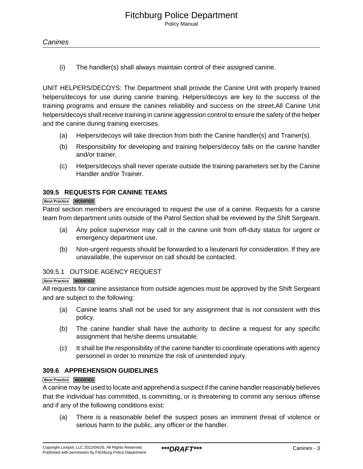(i) The handler(s) shall always maintain control of their assigned canine.

UNIT HELPERS/DECOYS: The Department shall provide the Canine Unit with properly trained helpers/decoys for use during canine training. Helpers/decoys are key to the success of the training programs and ensure the canines reliability and success on the street.All Canine Unit helpers/decoys shall receive training in canine aggression control to ensure the safety of the helper and the canine during training exercises.

- (a) Helpers/decoys will take direction from both the Canine handler(s) and Trainer(s).
- (b) Responsibility for developing and training helpers/decoy falls on the canine handler and/or trainer.
- (c) Helpers/decoys shall never operate outside the training parameters set by the Canine Handler and/or Trainer.

## **309.5 REQUESTS FOR CANINE TEAMS**

#### **Best Practice MODIFIED**

Patrol section members are encouraged to request the use of a canine. Requests for a canine team from department units outside of the Patrol Section shall be reviewed by the Shift Sergeant.

- (a) Any police supervisor may call in the canine unit from off-duty status for urgent or emergency department use.
- (b) Non-urgent requests should be forwarded to a lieutenant for consideration. If they are unavailable, the supervisor on call should be contacted.

#### 309.5.1 OUTSIDE AGENCY REQUEST

#### **Best Practice MODIFIED**

All requests for canine assistance from outside agencies must be approved by the Shift Sergeant and are subject to the following:

- (a) Canine teams shall not be used for any assignment that is not consistent with this policy.
- (b) The canine handler shall have the authority to decline a request for any specific assignment that he/she deems unsuitable.
- (c) It shall be the responsibility of the canine handler to coordinate operations with agency personnel in order to minimize the risk of unintended injury.

### **309.6 APPREHENSION GUIDELINES**

#### **Best Practice MODIFIED**

A canine may be used to locate and apprehend a suspect if the canine handler reasonably believes that the individual has committed, is committing, or is threatening to commit any serious offense and if any of the following conditions exist:

(a) There is a reasonable belief the suspect poses an imminent threat of violence or serious harm to the public, any officer or the handler.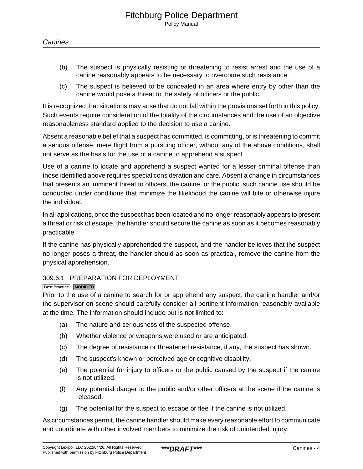- (b) The suspect is physically resisting or threatening to resist arrest and the use of a canine reasonably appears to be necessary to overcome such resistance.
- (c) The suspect is believed to be concealed in an area where entry by other than the canine would pose a threat to the safety of officers or the public.

It is recognized that situations may arise that do not fall within the provisions set forth in this policy. Such events require consideration of the totality of the circumstances and the use of an objective reasonableness standard applied to the decision to use a canine.

Absent a reasonable belief that a suspect has committed, is committing, or is threatening to commit a serious offense, mere flight from a pursuing officer, without any of the above conditions, shall not serve as the basis for the use of a canine to apprehend a suspect.

Use of a canine to locate and apprehend a suspect wanted for a lesser criminal offense than those identified above requires special consideration and care. Absent a change in circumstances that presents an imminent threat to officers, the canine, or the public, such canine use should be conducted under conditions that minimize the likelihood the canine will bite or otherwise injure the individual.

In all applications, once the suspect has been located and no longer reasonably appears to present a threat or risk of escape, the handler should secure the canine as soon as it becomes reasonably practicable.

If the canine has physically apprehended the suspect, and the handler believes that the suspect no longer poses a threat, the handler should as soon as practical, remove the canine from the physical apprehension.

## 309.6.1 PREPARATION FOR DEPLOYMENT

#### **Best Practice MODIFIED**

Prior to the use of a canine to search for or apprehend any suspect, the canine handler and/or the supervisor on-scene should carefully consider all pertinent information reasonably available at the time. The information should include but is not limited to:

- (a) The nature and seriousness of the suspected offense.
- (b) Whether violence or weapons were used or are anticipated.
- (c) The degree of resistance or threatened resistance, if any, the suspect has shown.
- (d) The suspect's known or perceived age or cognitive disability.
- (e) The potential for injury to officers or the public caused by the suspect if the canine is not utilized.
- (f) Any potential danger to the public and/or other officers at the scene if the canine is released.
- (g) The potential for the suspect to escape or flee if the canine is not utilized.

As circumstances permit, the canine handler should make every reasonable effort to communicate and coordinate with other involved members to minimize the risk of unintended injury.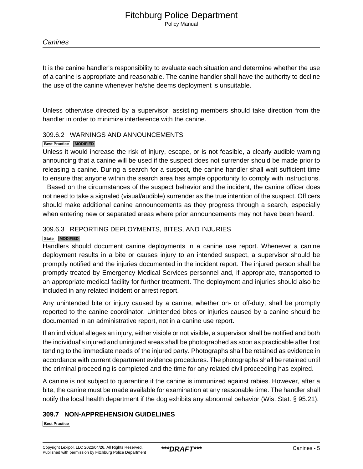## **Canines**

It is the canine handler's responsibility to evaluate each situation and determine whether the use of a canine is appropriate and reasonable. The canine handler shall have the authority to decline the use of the canine whenever he/she deems deployment is unsuitable.

Unless otherwise directed by a supervisor, assisting members should take direction from the handler in order to minimize interference with the canine.

## 309.6.2 WARNINGS AND ANNOUNCEMENTS

#### **Best Practice MODIFIED**

Unless it would increase the risk of injury, escape, or is not feasible, a clearly audible warning announcing that a canine will be used if the suspect does not surrender should be made prior to releasing a canine. During a search for a suspect, the canine handler shall wait sufficient time to ensure that anyone within the search area has ample opportunity to comply with instructions.

 Based on the circumstances of the suspect behavior and the incident, the canine officer does not need to take a signaled (visual/audible) surrender as the true intention of the suspect. Officers should make additional canine announcements as they progress through a search, especially when entering new or separated areas where prior announcements may not have been heard.

## 309.6.3 REPORTING DEPLOYMENTS, BITES, AND INJURIES

#### **State MODIFIED**

Handlers should document canine deployments in a canine use report. Whenever a canine deployment results in a bite or causes injury to an intended suspect, a supervisor should be promptly notified and the injuries documented in the incident report. The injured person shall be promptly treated by Emergency Medical Services personnel and, if appropriate, transported to an appropriate medical facility for further treatment. The deployment and injuries should also be included in any related incident or arrest report.

Any unintended bite or injury caused by a canine, whether on- or off-duty, shall be promptly reported to the canine coordinator. Unintended bites or injuries caused by a canine should be documented in an administrative report, not in a canine use report.

If an individual alleges an injury, either visible or not visible, a supervisor shall be notified and both the individual's injured and uninjured areas shall be photographed as soon as practicable after first tending to the immediate needs of the injured party. Photographs shall be retained as evidence in accordance with current department evidence procedures. The photographs shall be retained until the criminal proceeding is completed and the time for any related civil proceeding has expired.

A canine is not subject to quarantine if the canine is immunized against rabies. However, after a bite, the canine must be made available for examination at any reasonable time. The handler shall notify the local health department if the dog exhibits any abnormal behavior (Wis. Stat. § 95.21).

## **309.7 NON-APPREHENSION GUIDELINES**

**Best Practice**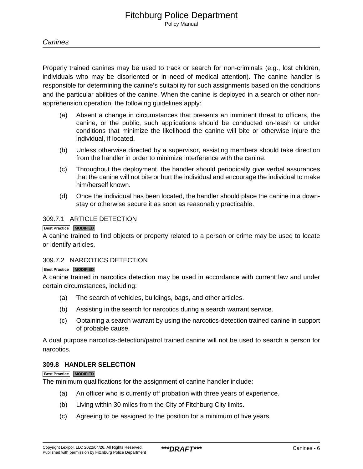## **Canines**

Properly trained canines may be used to track or search for non-criminals (e.g., lost children, individuals who may be disoriented or in need of medical attention). The canine handler is responsible for determining the canine's suitability for such assignments based on the conditions and the particular abilities of the canine. When the canine is deployed in a search or other nonapprehension operation, the following guidelines apply:

- (a) Absent a change in circumstances that presents an imminent threat to officers, the canine, or the public, such applications should be conducted on-leash or under conditions that minimize the likelihood the canine will bite or otherwise injure the individual, if located.
- (b) Unless otherwise directed by a supervisor, assisting members should take direction from the handler in order to minimize interference with the canine.
- (c) Throughout the deployment, the handler should periodically give verbal assurances that the canine will not bite or hurt the individual and encourage the individual to make him/herself known.
- (d) Once the individual has been located, the handler should place the canine in a downstay or otherwise secure it as soon as reasonably practicable.

## 309.7.1 ARTICLE DETECTION

#### **Best Practice MODIFIED**

A canine trained to find objects or property related to a person or crime may be used to locate or identify articles.

## 309.7.2 NARCOTICS DETECTION

#### **Best Practice MODIFIED**

A canine trained in narcotics detection may be used in accordance with current law and under certain circumstances, including:

- (a) The search of vehicles, buildings, bags, and other articles.
- (b) Assisting in the search for narcotics during a search warrant service.
- (c) Obtaining a search warrant by using the narcotics-detection trained canine in support of probable cause.

A dual purpose narcotics-detection/patrol trained canine will not be used to search a person for narcotics.

## **309.8 HANDLER SELECTION**

#### **Best Practice MODIFIED**

The minimum qualifications for the assignment of canine handler include:

- (a) An officer who is currently off probation with three years of experience.
- (b) Living within 30 miles from the City of Fitchburg City limits.
- (c) Agreeing to be assigned to the position for a minimum of five years.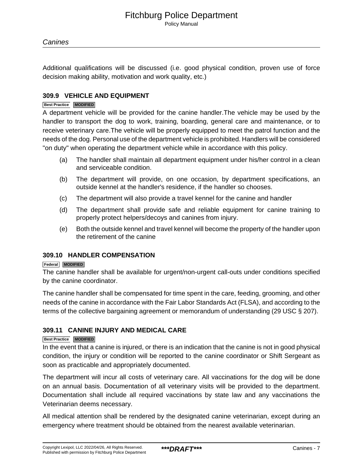Additional qualifications will be discussed (i.e. good physical condition, proven use of force decision making ability, motivation and work quality, etc.)

## **309.9 VEHICLE AND EQUIPMENT**

#### **Best Practice MODIFIED**

A department vehicle will be provided for the canine handler.The vehicle may be used by the handler to transport the dog to work, training, boarding, general care and maintenance, or to receive veterinary care.The vehicle will be properly equipped to meet the patrol function and the needs of the dog. Personal use of the department vehicle is prohibited. Handlers will be considered "on duty" when operating the department vehicle while in accordance with this policy.

- (a) The handler shall maintain all department equipment under his/her control in a clean and serviceable condition.
- (b) The department will provide, on one occasion, by department specifications, an outside kennel at the handler's residence, if the handler so chooses.
- (c) The department will also provide a travel kennel for the canine and handler
- (d) The department shall provide safe and reliable equipment for canine training to properly protect helpers/decoys and canines from injury.
- (e) Both the outside kennel and travel kennel will become the property of the handler upon the retirement of the canine

### **309.10 HANDLER COMPENSATION**

#### **Federal MODIFIED**

The canine handler shall be available for urgent/non-urgent call-outs under conditions specified by the canine coordinator.

The canine handler shall be compensated for time spent in the care, feeding, grooming, and other needs of the canine in accordance with the Fair Labor Standards Act (FLSA), and according to the terms of the collective bargaining agreement or memorandum of understanding (29 USC § 207).

## **309.11 CANINE INJURY AND MEDICAL CARE**

#### **Best Practice MODIFIED**

In the event that a canine is injured, or there is an indication that the canine is not in good physical condition, the injury or condition will be reported to the canine coordinator or Shift Sergeant as soon as practicable and appropriately documented.

The department will incur all costs of veterinary care. All vaccinations for the dog will be done on an annual basis. Documentation of all veterinary visits will be provided to the department. Documentation shall include all required vaccinations by state law and any vaccinations the Veterinarian deems necessary.

All medical attention shall be rendered by the designated canine veterinarian, except during an emergency where treatment should be obtained from the nearest available veterinarian.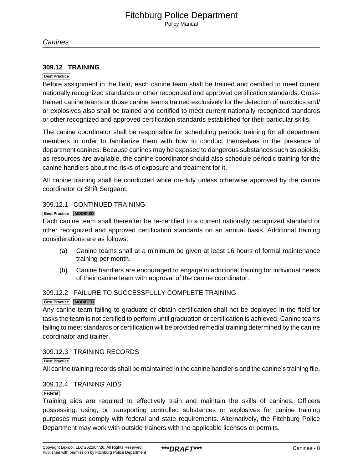**Canines** 

#### **309.12 TRAINING**

#### **Best Practice**

Before assignment in the field, each canine team shall be trained and certified to meet current nationally recognized standards or other recognized and approved certification standards. Crosstrained canine teams or those canine teams trained exclusively for the detection of narcotics and/ or explosives also shall be trained and certified to meet current nationally recognized standards or other recognized and approved certification standards established for their particular skills.

The canine coordinator shall be responsible for scheduling periodic training for all department members in order to familiarize them with how to conduct themselves in the presence of department canines. Because canines may be exposed to dangerous substances such as opioids, as resources are available, the canine coordinator should also schedule periodic training for the canine handlers about the risks of exposure and treatment for it.

All canine training shall be conducted while on-duty unless otherwise approved by the canine coordinator or Shift Sergeant.

#### 309.12.1 CONTINUED TRAINING

#### **Best Practice MODIFIED**

Each canine team shall thereafter be re-certified to a current nationally recognized standard or other recognized and approved certification standards on an annual basis. Additional training considerations are as follows:

- (a) Canine teams shall at a minimum be given at least 16 hours of formal maintenance training per month.
- (b) Canine handlers are encouraged to engage in additional training for individual needs of their canine team with approval of the canine coordinator.

## 309.12.2 FAILURE TO SUCCESSFULLY COMPLETE TRAINING

#### **Best Practice MODIFIED**

Any canine team failing to graduate or obtain certification shall not be deployed in the field for tasks the team is not certified to perform until graduation or certification is achieved. Canine teams failing to meet standards or certification will be provided remedial training determined by the canine coordinator and trainer.

#### 309.12.3 TRAINING RECORDS

#### **Best Practice**

All canine training records shall be maintained in the canine handler's and the canine's training file.

## 309.12.4 TRAINING AIDS

#### **Federal**

Training aids are required to effectively train and maintain the skills of canines. Officers possessing, using, or transporting controlled substances or explosives for canine training purposes must comply with federal and state requirements. Alternatively, the Fitchburg Police Department may work with outside trainers with the applicable licenses or permits.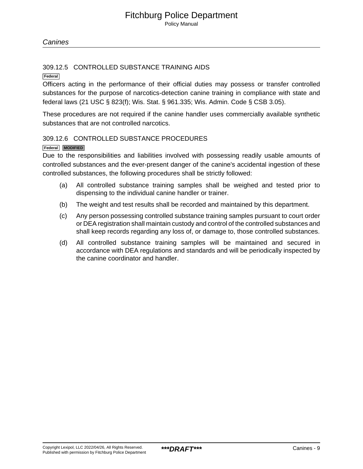## 309.12.5 CONTROLLED SUBSTANCE TRAINING AIDS

**Federal**

Officers acting in the performance of their official duties may possess or transfer controlled substances for the purpose of narcotics-detection canine training in compliance with state and federal laws (21 USC § 823(f); Wis. Stat. § 961.335; Wis. Admin. Code § CSB 3.05).

These procedures are not required if the canine handler uses commercially available synthetic substances that are not controlled narcotics.

## 309.12.6 CONTROLLED SUBSTANCE PROCEDURES

## **Federal MODIFIED**

Due to the responsibilities and liabilities involved with possessing readily usable amounts of controlled substances and the ever-present danger of the canine's accidental ingestion of these controlled substances, the following procedures shall be strictly followed:

- (a) All controlled substance training samples shall be weighed and tested prior to dispensing to the individual canine handler or trainer.
- (b) The weight and test results shall be recorded and maintained by this department.
- (c) Any person possessing controlled substance training samples pursuant to court order or DEA registration shall maintain custody and control of the controlled substances and shall keep records regarding any loss of, or damage to, those controlled substances.
- (d) All controlled substance training samples will be maintained and secured in accordance with DEA regulations and standards and will be periodically inspected by the canine coordinator and handler.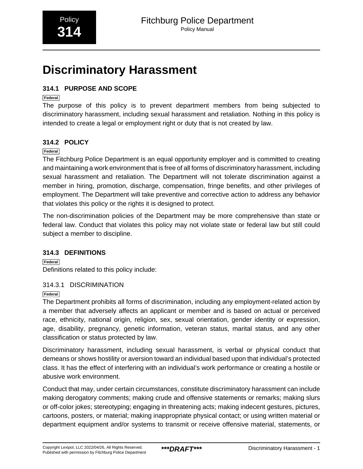# <span id="page-24-0"></span>**Discriminatory Harassment**

## **314.1 PURPOSE AND SCOPE**

## **Federal**

The purpose of this policy is to prevent department members from being subjected to discriminatory harassment, including sexual harassment and retaliation. Nothing in this policy is intended to create a legal or employment right or duty that is not created by law.

## **314.2 POLICY**

## **Federal**

The Fitchburg Police Department is an equal opportunity employer and is committed to creating and maintaining a work environment that is free of all forms of discriminatory harassment, including sexual harassment and retaliation. The Department will not tolerate discrimination against a member in hiring, promotion, discharge, compensation, fringe benefits, and other privileges of employment. The Department will take preventive and corrective action to address any behavior that violates this policy or the rights it is designed to protect.

The non-discrimination policies of the Department may be more comprehensive than state or federal law. Conduct that violates this policy may not violate state or federal law but still could subject a member to discipline.

## **314.3 DEFINITIONS**

**Federal** Definitions related to this policy include:

## 314.3.1 DISCRIMINATION

## **Federal**

The Department prohibits all forms of discrimination, including any employment-related action by a member that adversely affects an applicant or member and is based on actual or perceived race, ethnicity, national origin, religion, sex, sexual orientation, gender identity or expression, age, disability, pregnancy, genetic information, veteran status, marital status, and any other classification or status protected by law.

Discriminatory harassment, including sexual harassment, is verbal or physical conduct that demeans or shows hostility or aversion toward an individual based upon that individual's protected class. It has the effect of interfering with an individual's work performance or creating a hostile or abusive work environment.

Conduct that may, under certain circumstances, constitute discriminatory harassment can include making derogatory comments; making crude and offensive statements or remarks; making slurs or off-color jokes; stereotyping; engaging in threatening acts; making indecent gestures, pictures, cartoons, posters, or material; making inappropriate physical contact; or using written material or department equipment and/or systems to transmit or receive offensive material, statements, or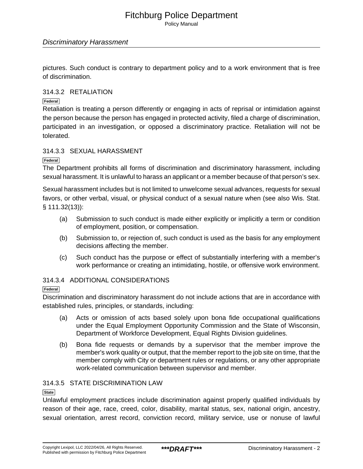Policy Manual

## Discriminatory Harassment

pictures. Such conduct is contrary to department policy and to a work environment that is free of discrimination.

## 314.3.2 RETALIATION

### **Federal**

Retaliation is treating a person differently or engaging in acts of reprisal or intimidation against the person because the person has engaged in protected activity, filed a charge of discrimination, participated in an investigation, or opposed a discriminatory practice. Retaliation will not be tolerated.

## 314.3.3 SEXUAL HARASSMENT

**Federal**

The Department prohibits all forms of discrimination and discriminatory harassment, including sexual harassment. It is unlawful to harass an applicant or a member because of that person's sex.

Sexual harassment includes but is not limited to unwelcome sexual advances, requests for sexual favors, or other verbal, visual, or physical conduct of a sexual nature when (see also Wis. Stat. § 111.32(13)):

- (a) Submission to such conduct is made either explicitly or implicitly a term or condition of employment, position, or compensation.
- (b) Submission to, or rejection of, such conduct is used as the basis for any employment decisions affecting the member.
- (c) Such conduct has the purpose or effect of substantially interfering with a member's work performance or creating an intimidating, hostile, or offensive work environment.

## 314.3.4 ADDITIONAL CONSIDERATIONS

## **Federal**

Discrimination and discriminatory harassment do not include actions that are in accordance with established rules, principles, or standards, including:

- (a) Acts or omission of acts based solely upon bona fide occupational qualifications under the Equal Employment Opportunity Commission and the State of Wisconsin, Department of Workforce Development, Equal Rights Division guidelines.
- (b) Bona fide requests or demands by a supervisor that the member improve the member's work quality or output, that the member report to the job site on time, that the member comply with City or department rules or regulations, or any other appropriate work-related communication between supervisor and member.

## 314.3.5 STATE DISCRIMINATION LAW

#### **State**

Unlawful employment practices include discrimination against properly qualified individuals by reason of their age, race, creed, color, disability, marital status, sex, national origin, ancestry, sexual orientation, arrest record, conviction record, military service, use or nonuse of lawful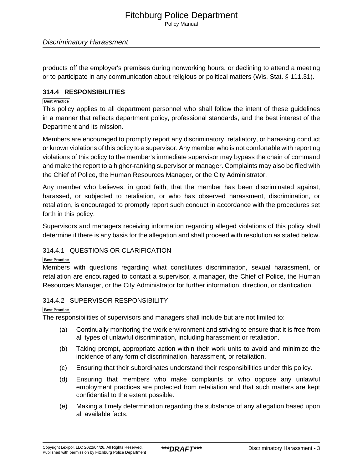Policy Manual

## Discriminatory Harassment

products off the employer's premises during nonworking hours, or declining to attend a meeting or to participate in any communication about religious or political matters (Wis. Stat. § 111.31).

## **314.4 RESPONSIBILITIES**

#### **Best Practice**

This policy applies to all department personnel who shall follow the intent of these guidelines in a manner that reflects department policy, professional standards, and the best interest of the Department and its mission.

Members are encouraged to promptly report any discriminatory, retaliatory, or harassing conduct or known violations of this policy to a supervisor. Any member who is not comfortable with reporting violations of this policy to the member's immediate supervisor may bypass the chain of command and make the report to a higher-ranking supervisor or manager. Complaints may also be filed with the Chief of Police, the Human Resources Manager, or the City Administrator.

Any member who believes, in good faith, that the member has been discriminated against, harassed, or subjected to retaliation, or who has observed harassment, discrimination, or retaliation, is encouraged to promptly report such conduct in accordance with the procedures set forth in this policy.

Supervisors and managers receiving information regarding alleged violations of this policy shall determine if there is any basis for the allegation and shall proceed with resolution as stated below.

## 314.4.1 QUESTIONS OR CLARIFICATION

#### **Best Practice**

Members with questions regarding what constitutes discrimination, sexual harassment, or retaliation are encouraged to contact a supervisor, a manager, the Chief of Police, the Human Resources Manager, or the City Administrator for further information, direction, or clarification.

#### 314.4.2 SUPERVISOR RESPONSIBILITY

#### **Best Practice**

The responsibilities of supervisors and managers shall include but are not limited to:

- (a) Continually monitoring the work environment and striving to ensure that it is free from all types of unlawful discrimination, including harassment or retaliation.
- (b) Taking prompt, appropriate action within their work units to avoid and minimize the incidence of any form of discrimination, harassment, or retaliation.
- (c) Ensuring that their subordinates understand their responsibilities under this policy.
- (d) Ensuring that members who make complaints or who oppose any unlawful employment practices are protected from retaliation and that such matters are kept confidential to the extent possible.
- (e) Making a timely determination regarding the substance of any allegation based upon all available facts.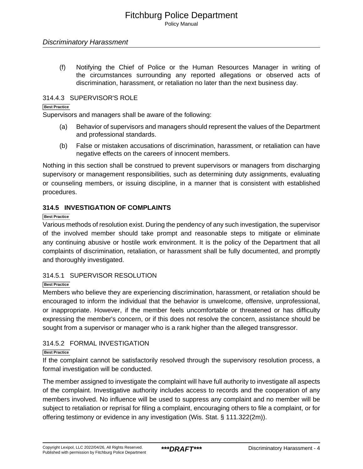## Discriminatory Harassment

(f) Notifying the Chief of Police or the Human Resources Manager in writing of the circumstances surrounding any reported allegations or observed acts of discrimination, harassment, or retaliation no later than the next business day.

## 314.4.3 SUPERVISOR'S ROLE

### **Best Practice**

Supervisors and managers shall be aware of the following:

- (a) Behavior of supervisors and managers should represent the values of the Department and professional standards.
- (b) False or mistaken accusations of discrimination, harassment, or retaliation can have negative effects on the careers of innocent members.

Nothing in this section shall be construed to prevent supervisors or managers from discharging supervisory or management responsibilities, such as determining duty assignments, evaluating or counseling members, or issuing discipline, in a manner that is consistent with established procedures.

## **314.5 INVESTIGATION OF COMPLAINTS**

#### **Best Practice**

Various methods of resolution exist. During the pendency of any such investigation, the supervisor of the involved member should take prompt and reasonable steps to mitigate or eliminate any continuing abusive or hostile work environment. It is the policy of the Department that all complaints of discrimination, retaliation, or harassment shall be fully documented, and promptly and thoroughly investigated.

## 314.5.1 SUPERVISOR RESOLUTION

#### **Best Practice**

Members who believe they are experiencing discrimination, harassment, or retaliation should be encouraged to inform the individual that the behavior is unwelcome, offensive, unprofessional, or inappropriate. However, if the member feels uncomfortable or threatened or has difficulty expressing the member's concern, or if this does not resolve the concern, assistance should be sought from a supervisor or manager who is a rank higher than the alleged transgressor.

## 314.5.2 FORMAL INVESTIGATION

#### **Best Practice**

If the complaint cannot be satisfactorily resolved through the supervisory resolution process, a formal investigation will be conducted.

The member assigned to investigate the complaint will have full authority to investigate all aspects of the complaint. Investigative authority includes access to records and the cooperation of any members involved. No influence will be used to suppress any complaint and no member will be subject to retaliation or reprisal for filing a complaint, encouraging others to file a complaint, or for offering testimony or evidence in any investigation (Wis. Stat. § 111.322(2m)).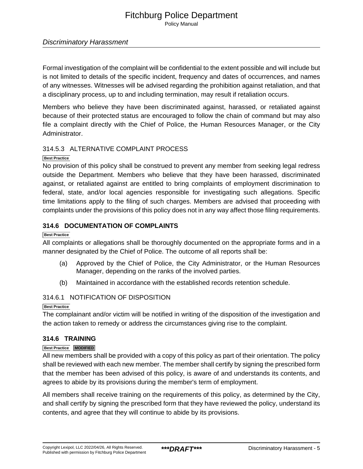Policy Manual

## Discriminatory Harassment

Formal investigation of the complaint will be confidential to the extent possible and will include but is not limited to details of the specific incident, frequency and dates of occurrences, and names of any witnesses. Witnesses will be advised regarding the prohibition against retaliation, and that a disciplinary process, up to and including termination, may result if retaliation occurs.

Members who believe they have been discriminated against, harassed, or retaliated against because of their protected status are encouraged to follow the chain of command but may also file a complaint directly with the Chief of Police, the Human Resources Manager, or the City Administrator.

## 314.5.3 ALTERNATIVE COMPLAINT PROCESS

## **Best Practice**

No provision of this policy shall be construed to prevent any member from seeking legal redress outside the Department. Members who believe that they have been harassed, discriminated against, or retaliated against are entitled to bring complaints of employment discrimination to federal, state, and/or local agencies responsible for investigating such allegations. Specific time limitations apply to the filing of such charges. Members are advised that proceeding with complaints under the provisions of this policy does not in any way affect those filing requirements.

## **314.6 DOCUMENTATION OF COMPLAINTS**

## **Best Practice**

All complaints or allegations shall be thoroughly documented on the appropriate forms and in a manner designated by the Chief of Police. The outcome of all reports shall be:

- (a) Approved by the Chief of Police, the City Administrator, or the Human Resources Manager, depending on the ranks of the involved parties.
- (b) Maintained in accordance with the established records retention schedule.

## 314.6.1 NOTIFICATION OF DISPOSITION

#### **Best Practice**

The complainant and/or victim will be notified in writing of the disposition of the investigation and the action taken to remedy or address the circumstances giving rise to the complaint.

## **314.6 TRAINING**

#### **Best Practice MODIFIED**

All new members shall be provided with a copy of this policy as part of their orientation. The policy shall be reviewed with each new member. The member shall certify by signing the prescribed form that the member has been advised of this policy, is aware of and understands its contents, and agrees to abide by its provisions during the member's term of employment.

All members shall receive training on the requirements of this policy, as determined by the City, and shall certify by signing the prescribed form that they have reviewed the policy, understand its contents, and agree that they will continue to abide by its provisions.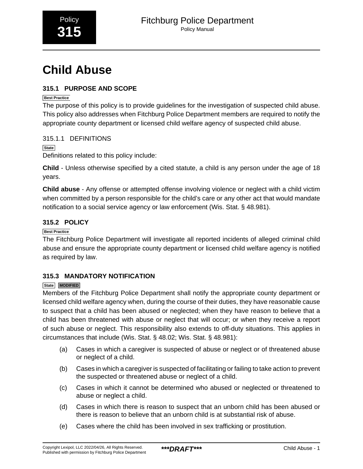# <span id="page-29-0"></span>**Child Abuse**

## **315.1 PURPOSE AND SCOPE**

## **Best Practice**

The purpose of this policy is to provide guidelines for the investigation of suspected child abuse. This policy also addresses when Fitchburg Police Department members are required to notify the appropriate county department or licensed child welfare agency of suspected child abuse.

## 315.1.1 DEFINITIONS

## **State**

Definitions related to this policy include:

**Child** - Unless otherwise specified by a cited statute, a child is any person under the age of 18 years.

**Child abuse** - Any offense or attempted offense involving violence or neglect with a child victim when committed by a person responsible for the child's care or any other act that would mandate notification to a social service agency or law enforcement (Wis. Stat. § 48.981).

## **315.2 POLICY**

## **Best Practice**

The Fitchburg Police Department will investigate all reported incidents of alleged criminal child abuse and ensure the appropriate county department or licensed child welfare agency is notified as required by law.

## **315.3 MANDATORY NOTIFICATION**

## **State MODIFIED**

Members of the Fitchburg Police Department shall notify the appropriate county department or licensed child welfare agency when, during the course of their duties, they have reasonable cause to suspect that a child has been abused or neglected; when they have reason to believe that a child has been threatened with abuse or neglect that will occur; or when they receive a report of such abuse or neglect. This responsibility also extends to off-duty situations. This applies in circumstances that include (Wis. Stat. § 48.02; Wis. Stat. § 48.981):

- (a) Cases in which a caregiver is suspected of abuse or neglect or of threatened abuse or neglect of a child.
- (b) Cases in which a caregiver is suspected of facilitating or failing to take action to prevent the suspected or threatened abuse or neglect of a child.
- (c) Cases in which it cannot be determined who abused or neglected or threatened to abuse or neglect a child.
- (d) Cases in which there is reason to suspect that an unborn child has been abused or there is reason to believe that an unborn child is at substantial risk of abuse.
- (e) Cases where the child has been involved in sex trafficking or prostitution.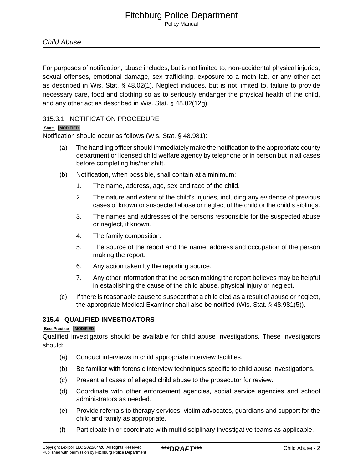For purposes of notification, abuse includes, but is not limited to, non-accidental physical injuries, sexual offenses, emotional damage, sex trafficking, exposure to a meth lab, or any other act as described in Wis. Stat. § 48.02(1). Neglect includes, but is not limited to, failure to provide necessary care, food and clothing so as to seriously endanger the physical health of the child, and any other act as described in Wis. Stat. § 48.02(12g).

## 315.3.1 NOTIFICATION PROCEDURE

## **State MODIFIED**

Notification should occur as follows (Wis. Stat. § 48.981):

- (a) The handling officer should immediately make the notification to the appropriate county department or licensed child welfare agency by telephone or in person but in all cases before completing his/her shift.
- (b) Notification, when possible, shall contain at a minimum:
	- 1. The name, address, age, sex and race of the child.
	- 2. The nature and extent of the child's injuries, including any evidence of previous cases of known or suspected abuse or neglect of the child or the child's siblings.
	- 3. The names and addresses of the persons responsible for the suspected abuse or neglect, if known.
	- 4. The family composition.
	- 5. The source of the report and the name, address and occupation of the person making the report.
	- 6. Any action taken by the reporting source.
	- 7. Any other information that the person making the report believes may be helpful in establishing the cause of the child abuse, physical injury or neglect.
- (c) If there is reasonable cause to suspect that a child died as a result of abuse or neglect, the appropriate Medical Examiner shall also be notified (Wis. Stat. § 48.981(5)).

## **315.4 QUALIFIED INVESTIGATORS**

#### **Best Practice MODIFIED**

Qualified investigators should be available for child abuse investigations. These investigators should:

- (a) Conduct interviews in child appropriate interview facilities.
- (b) Be familiar with forensic interview techniques specific to child abuse investigations.
- (c) Present all cases of alleged child abuse to the prosecutor for review.
- (d) Coordinate with other enforcement agencies, social service agencies and school administrators as needed.
- (e) Provide referrals to therapy services, victim advocates, guardians and support for the child and family as appropriate.
- (f) Participate in or coordinate with multidisciplinary investigative teams as applicable.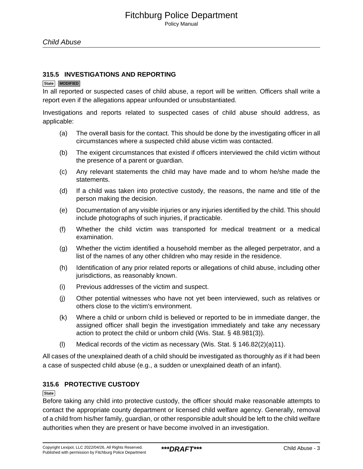### **315.5 INVESTIGATIONS AND REPORTING**

#### **State MODIFIED**

In all reported or suspected cases of child abuse, a report will be written. Officers shall write a report even if the allegations appear unfounded or unsubstantiated.

Investigations and reports related to suspected cases of child abuse should address, as applicable:

- (a) The overall basis for the contact. This should be done by the investigating officer in all circumstances where a suspected child abuse victim was contacted.
- (b) The exigent circumstances that existed if officers interviewed the child victim without the presence of a parent or guardian.
- (c) Any relevant statements the child may have made and to whom he/she made the statements.
- (d) If a child was taken into protective custody, the reasons, the name and title of the person making the decision.
- (e) Documentation of any visible injuries or any injuries identified by the child. This should include photographs of such injuries, if practicable.
- (f) Whether the child victim was transported for medical treatment or a medical examination.
- (g) Whether the victim identified a household member as the alleged perpetrator, and a list of the names of any other children who may reside in the residence.
- (h) Identification of any prior related reports or allegations of child abuse, including other jurisdictions, as reasonably known.
- (i) Previous addresses of the victim and suspect.
- (j) Other potential witnesses who have not yet been interviewed, such as relatives or others close to the victim's environment.
- (k) Where a child or unborn child is believed or reported to be in immediate danger, the assigned officer shall begin the investigation immediately and take any necessary action to protect the child or unborn child (Wis. Stat. § 48.981(3)).
- (I) Medical records of the victim as necessary (Wis. Stat.  $\S 146.82(2)(a)11$ ).

All cases of the unexplained death of a child should be investigated as thoroughly as if it had been a case of suspected child abuse (e.g., a sudden or unexplained death of an infant).

## **315.6 PROTECTIVE CUSTODY**

#### **State**

Before taking any child into protective custody, the officer should make reasonable attempts to contact the appropriate county department or licensed child welfare agency. Generally, removal of a child from his/her family, guardian, or other responsible adult should be left to the child welfare authorities when they are present or have become involved in an investigation.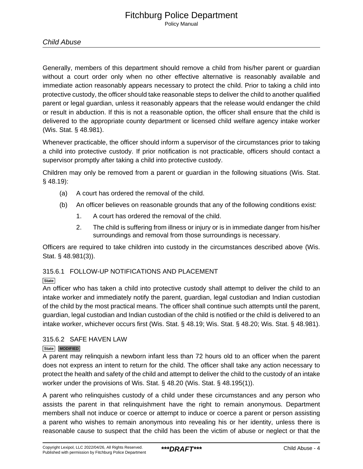## Child Abuse

Generally, members of this department should remove a child from his/her parent or guardian without a court order only when no other effective alternative is reasonably available and immediate action reasonably appears necessary to protect the child. Prior to taking a child into protective custody, the officer should take reasonable steps to deliver the child to another qualified parent or legal guardian, unless it reasonably appears that the release would endanger the child or result in abduction. If this is not a reasonable option, the officer shall ensure that the child is delivered to the appropriate county department or licensed child welfare agency intake worker (Wis. Stat. § 48.981).

Whenever practicable, the officer should inform a supervisor of the circumstances prior to taking a child into protective custody. If prior notification is not practicable, officers should contact a supervisor promptly after taking a child into protective custody.

Children may only be removed from a parent or guardian in the following situations (Wis. Stat. § 48.19):

- (a) A court has ordered the removal of the child.
- (b) An officer believes on reasonable grounds that any of the following conditions exist:
	- 1. A court has ordered the removal of the child.
	- 2. The child is suffering from illness or injury or is in immediate danger from his/her surroundings and removal from those surroundings is necessary.

Officers are required to take children into custody in the circumstances described above (Wis. Stat. § 48.981(3)).

## 315.6.1 FOLLOW-UP NOTIFICATIONS AND PLACEMENT

## **State**

An officer who has taken a child into protective custody shall attempt to deliver the child to an intake worker and immediately notify the parent, guardian, legal custodian and Indian custodian of the child by the most practical means. The officer shall continue such attempts until the parent, guardian, legal custodian and Indian custodian of the child is notified or the child is delivered to an intake worker, whichever occurs first (Wis. Stat. § 48.19; Wis. Stat. § 48.20; Wis. Stat. § 48.981).

## 315.6.2 SAFE HAVEN LAW

## **State MODIFIED**

A parent may relinquish a newborn infant less than 72 hours old to an officer when the parent does not express an intent to return for the child. The officer shall take any action necessary to protect the health and safety of the child and attempt to deliver the child to the custody of an intake worker under the provisions of Wis. Stat. § 48.20 (Wis. Stat. § 48.195(1)).

A parent who relinquishes custody of a child under these circumstances and any person who assists the parent in that relinquishment have the right to remain anonymous. Department members shall not induce or coerce or attempt to induce or coerce a parent or person assisting a parent who wishes to remain anonymous into revealing his or her identity, unless there is reasonable cause to suspect that the child has been the victim of abuse or neglect or that the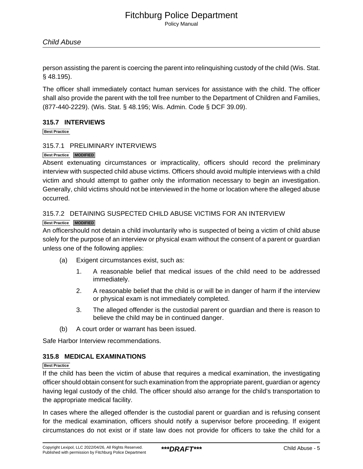## Child Abuse

person assisting the parent is coercing the parent into relinquishing custody of the child (Wis. Stat. § 48.195).

The officer shall immediately contact human services for assistance with the child. The officer shall also provide the parent with the toll free number to the Department of Children and Families, (877-440-2229). (Wis. Stat. § 48.195; Wis. Admin. Code § DCF 39.09).

## **315.7 INTERVIEWS**

**Best Practice**

## 315.7.1 PRELIMINARY INTERVIEWS

#### **Best Practice MODIFIED**

Absent extenuating circumstances or impracticality, officers should record the preliminary interview with suspected child abuse victims. Officers should avoid multiple interviews with a child victim and should attempt to gather only the information necessary to begin an investigation. Generally, child victims should not be interviewed in the home or location where the alleged abuse occurred.

## 315.7.2 DETAINING SUSPECTED CHILD ABUSE VICTIMS FOR AN INTERVIEW

## **Best Practice MODIFIED**

An officershould not detain a child involuntarily who is suspected of being a victim of child abuse solely for the purpose of an interview or physical exam without the consent of a parent or guardian unless one of the following applies:

- (a) Exigent circumstances exist, such as:
	- 1. A reasonable belief that medical issues of the child need to be addressed immediately.
	- 2. A reasonable belief that the child is or will be in danger of harm if the interview or physical exam is not immediately completed.
	- 3. The alleged offender is the custodial parent or guardian and there is reason to believe the child may be in continued danger.
- (b) A court order or warrant has been issued.

Safe Harbor Interview recommendations.

## **315.8 MEDICAL EXAMINATIONS**

#### **Best Practice**

If the child has been the victim of abuse that requires a medical examination, the investigating officer should obtain consent for such examination from the appropriate parent, guardian or agency having legal custody of the child. The officer should also arrange for the child's transportation to the appropriate medical facility.

In cases where the alleged offender is the custodial parent or guardian and is refusing consent for the medical examination, officers should notify a supervisor before proceeding. If exigent circumstances do not exist or if state law does not provide for officers to take the child for a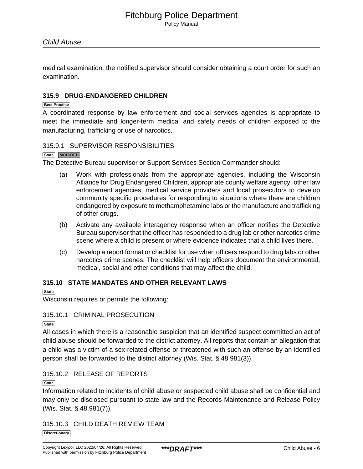medical examination, the notified supervisor should consider obtaining a court order for such an examination.

## **315.9 DRUG-ENDANGERED CHILDREN**

#### **Best Practice**

A coordinated response by law enforcement and social services agencies is appropriate to meet the immediate and longer-term medical and safety needs of children exposed to the manufacturing, trafficking or use of narcotics.

#### 315.9.1 SUPERVISOR RESPONSIBILITIES

#### **State MODIFIED**

The Detective Bureau supervisor or Support Services Section Commander should:

- (a) Work with professionals from the appropriate agencies, including the Wisconsin Alliance for Drug Endangered Children, appropriate county welfare agency, other law enforcement agencies, medical service providers and local prosecutors to develop community specific procedures for responding to situations where there are children endangered by exposure to methamphetamine labs or the manufacture and trafficking of other drugs.
- (b) Activate any available interagency response when an officer notifies the Detective Bureau supervisor that the officer has responded to a drug lab or other narcotics crime scene where a child is present or where evidence indicates that a child lives there.
- (c) Develop a report format or checklist for use when officers respond to drug labs or other narcotics crime scenes. The checklist will help officers document the environmental, medical, social and other conditions that may affect the child.

### **315.10 STATE MANDATES AND OTHER RELEVANT LAWS**

#### **State**

Wisconsin requires or permits the following:

#### 315.10.1 CRIMINAL PROSECUTION

#### **State**

All cases in which there is a reasonable suspicion that an identified suspect committed an act of child abuse should be forwarded to the district attorney. All reports that contain an allegation that a child was a victim of a sex-related offense or threatened with such an offense by an identified person shall be forwarded to the district attorney (Wis. Stat. § 48.981(3)).

## 315.10.2 RELEASE OF REPORTS

#### **State**

Information related to incidents of child abuse or suspected child abuse shall be confidential and may only be disclosed pursuant to state law and the Records Maintenance and Release Policy (Wis. Stat. § 48.981(7)).

315.10.3 CHILD DEATH REVIEW TEAM

**Discretionary**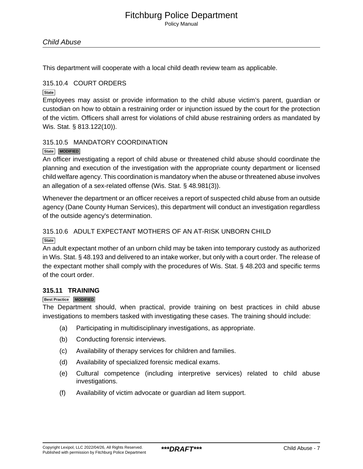This department will cooperate with a local child death review team as applicable.

## 315.10.4 COURT ORDERS

**State**

Employees may assist or provide information to the child abuse victim's parent, guardian or custodian on how to obtain a restraining order or injunction issued by the court for the protection of the victim. Officers shall arrest for violations of child abuse restraining orders as mandated by Wis. Stat. § 813.122(10)).

## 315.10.5 MANDATORY COORDINATION

## **State MODIFIED**

An officer investigating a report of child abuse or threatened child abuse should coordinate the planning and execution of the investigation with the appropriate county department or licensed child welfare agency. This coordination is mandatory when the abuse or threatened abuse involves an allegation of a sex-related offense (Wis. Stat. § 48.981(3)).

Whenever the department or an officer receives a report of suspected child abuse from an outside agency (Dane County Human Services), this department will conduct an investigation regardless of the outside agency's determination.

## 315.10.6 ADULT EXPECTANT MOTHERS OF AN AT-RISK UNBORN CHILD

**State**

An adult expectant mother of an unborn child may be taken into temporary custody as authorized in Wis. Stat. § 48.193 and delivered to an intake worker, but only with a court order. The release of the expectant mother shall comply with the procedures of Wis. Stat. § 48.203 and specific terms of the court order.

## **315.11 TRAINING**

## **Best Practice MODIFIED**

The Department should, when practical, provide training on best practices in child abuse investigations to members tasked with investigating these cases. The training should include:

- (a) Participating in multidisciplinary investigations, as appropriate.
- (b) Conducting forensic interviews.
- (c) Availability of therapy services for children and families.
- (d) Availability of specialized forensic medical exams.
- (e) Cultural competence (including interpretive services) related to child abuse investigations.
- (f) Availability of victim advocate or guardian ad litem support.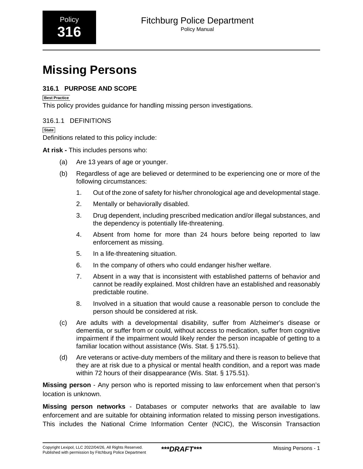# <span id="page-36-0"></span>**Missing Persons**

## **316.1 PURPOSE AND SCOPE**

**Best Practice**

This policy provides guidance for handling missing person investigations.

## 316.1.1 DEFINITIONS

**State**

Definitions related to this policy include:

**At risk -** This includes persons who:

- (a) Are 13 years of age or younger.
- (b) Regardless of age are believed or determined to be experiencing one or more of the following circumstances:
	- 1. Out of the zone of safety for his/her chronological age and developmental stage.
	- 2. Mentally or behaviorally disabled.
	- 3. Drug dependent, including prescribed medication and/or illegal substances, and the dependency is potentially life-threatening.
	- 4. Absent from home for more than 24 hours before being reported to law enforcement as missing.
	- 5. In a life-threatening situation.
	- 6. In the company of others who could endanger his/her welfare.
	- 7. Absent in a way that is inconsistent with established patterns of behavior and cannot be readily explained. Most children have an established and reasonably predictable routine.
	- 8. Involved in a situation that would cause a reasonable person to conclude the person should be considered at risk.
- (c) Are adults with a developmental disability, suffer from Alzheimer's disease or dementia, or suffer from or could, without access to medication, suffer from cognitive impairment if the impairment would likely render the person incapable of getting to a familiar location without assistance (Wis. Stat. § 175.51).
- (d) Are veterans or active-duty members of the military and there is reason to believe that they are at risk due to a physical or mental health condition, and a report was made within 72 hours of their disappearance (Wis. Stat. § 175.51).

**Missing person** - Any person who is reported missing to law enforcement when that person's location is unknown.

**Missing person networks** - Databases or computer networks that are available to law enforcement and are suitable for obtaining information related to missing person investigations. This includes the National Crime Information Center (NCIC), the Wisconsin Transaction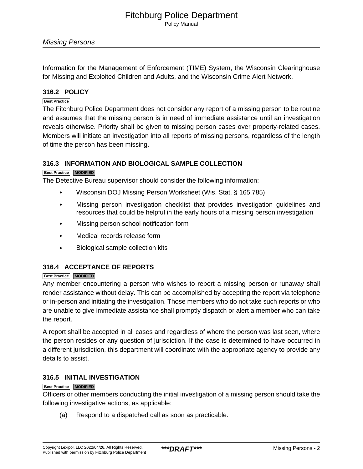Missing Persons

Information for the Management of Enforcement (TIME) System, the Wisconsin Clearinghouse for Missing and Exploited Children and Adults, and the Wisconsin Crime Alert Network.

## **316.2 POLICY**

#### **Best Practice**

The Fitchburg Police Department does not consider any report of a missing person to be routine and assumes that the missing person is in need of immediate assistance until an investigation reveals otherwise. Priority shall be given to missing person cases over property-related cases. Members will initiate an investigation into all reports of missing persons, regardless of the length of time the person has been missing.

## **316.3 INFORMATION AND BIOLOGICAL SAMPLE COLLECTION**

#### **Best Practice MODIFIED**

The Detective Bureau supervisor should consider the following information:

- Wisconsin DOJ Missing Person Worksheet (Wis. Stat. § 165.785)
- Missing person investigation checklist that provides investigation guidelines and resources that could be helpful in the early hours of a missing person investigation
- Missing person school notification form
- Medical records release form
- Biological sample collection kits

## **316.4 ACCEPTANCE OF REPORTS**

#### **Best Practice MODIFIED**

Any member encountering a person who wishes to report a missing person or runaway shall render assistance without delay. This can be accomplished by accepting the report via telephone or in-person and initiating the investigation. Those members who do not take such reports or who are unable to give immediate assistance shall promptly dispatch or alert a member who can take the report.

A report shall be accepted in all cases and regardless of where the person was last seen, where the person resides or any question of jurisdiction. If the case is determined to have occurred in a different jurisdiction, this department will coordinate with the appropriate agency to provide any details to assist.

## **316.5 INITIAL INVESTIGATION**

#### **Best Practice MODIFIED**

Officers or other members conducting the initial investigation of a missing person should take the following investigative actions, as applicable:

(a) Respond to a dispatched call as soon as practicable.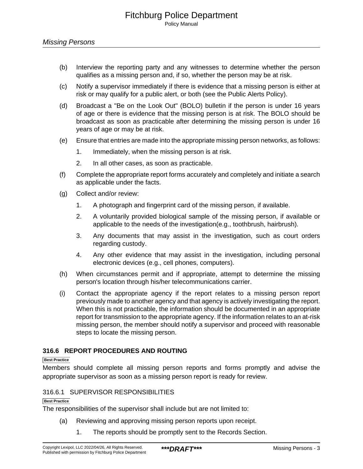- (b) Interview the reporting party and any witnesses to determine whether the person qualifies as a missing person and, if so, whether the person may be at risk.
- (c) Notify a supervisor immediately if there is evidence that a missing person is either at risk or may qualify for a public alert, or both (see the Public Alerts Policy).
- (d) Broadcast a "Be on the Look Out" (BOLO) bulletin if the person is under 16 years of age or there is evidence that the missing person is at risk. The BOLO should be broadcast as soon as practicable after determining the missing person is under 16 years of age or may be at risk.
- (e) Ensure that entries are made into the appropriate missing person networks, as follows:
	- 1. Immediately, when the missing person is at risk.
	- 2. In all other cases, as soon as practicable.
- (f) Complete the appropriate report forms accurately and completely and initiate a search as applicable under the facts.
- (g) Collect and/or review:
	- 1. A photograph and fingerprint card of the missing person, if available.
	- 2. A voluntarily provided biological sample of the missing person, if available or applicable to the needs of the investigation(e.g., toothbrush, hairbrush).
	- 3. Any documents that may assist in the investigation, such as court orders regarding custody.
	- 4. Any other evidence that may assist in the investigation, including personal electronic devices (e.g., cell phones, computers).
- (h) When circumstances permit and if appropriate, attempt to determine the missing person's location through his/her telecommunications carrier.
- (i) Contact the appropriate agency if the report relates to a missing person report previously made to another agency and that agency is actively investigating the report. When this is not practicable, the information should be documented in an appropriate report for transmission to the appropriate agency. If the information relates to an at-risk missing person, the member should notify a supervisor and proceed with reasonable steps to locate the missing person.

## **316.6 REPORT PROCEDURES AND ROUTING**

#### **Best Practice**

Members should complete all missing person reports and forms promptly and advise the appropriate supervisor as soon as a missing person report is ready for review.

## 316.6.1 SUPERVISOR RESPONSIBILITIES

#### **Best Practice**

The responsibilities of the supervisor shall include but are not limited to:

- (a) Reviewing and approving missing person reports upon receipt.
	- 1. The reports should be promptly sent to the Records Section.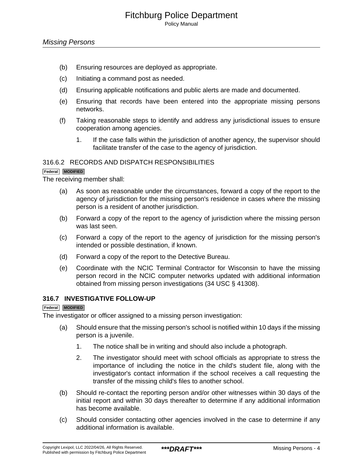- (b) Ensuring resources are deployed as appropriate.
- (c) Initiating a command post as needed.
- (d) Ensuring applicable notifications and public alerts are made and documented.
- (e) Ensuring that records have been entered into the appropriate missing persons networks.
- (f) Taking reasonable steps to identify and address any jurisdictional issues to ensure cooperation among agencies.
	- 1. If the case falls within the jurisdiction of another agency, the supervisor should facilitate transfer of the case to the agency of jurisdiction.

## 316.6.2 RECORDS AND DISPATCH RESPONSIBILITIES

#### **Federal MODIFIED**

The receiving member shall:

- (a) As soon as reasonable under the circumstances, forward a copy of the report to the agency of jurisdiction for the missing person's residence in cases where the missing person is a resident of another jurisdiction.
- (b) Forward a copy of the report to the agency of jurisdiction where the missing person was last seen.
- (c) Forward a copy of the report to the agency of jurisdiction for the missing person's intended or possible destination, if known.
- (d) Forward a copy of the report to the Detective Bureau.
- (e) Coordinate with the NCIC Terminal Contractor for Wisconsin to have the missing person record in the NCIC computer networks updated with additional information obtained from missing person investigations (34 USC § 41308).

#### **316.7 INVESTIGATIVE FOLLOW-UP**

#### **Federal MODIFIED**

The investigator or officer assigned to a missing person investigation:

- (a) Should ensure that the missing person's school is notified within 10 days if the missing person is a juvenile.
	- 1. The notice shall be in writing and should also include a photograph.
	- 2. The investigator should meet with school officials as appropriate to stress the importance of including the notice in the child's student file, along with the investigator's contact information if the school receives a call requesting the transfer of the missing child's files to another school.
- (b) Should re-contact the reporting person and/or other witnesses within 30 days of the initial report and within 30 days thereafter to determine if any additional information has become available.
- (c) Should consider contacting other agencies involved in the case to determine if any additional information is available.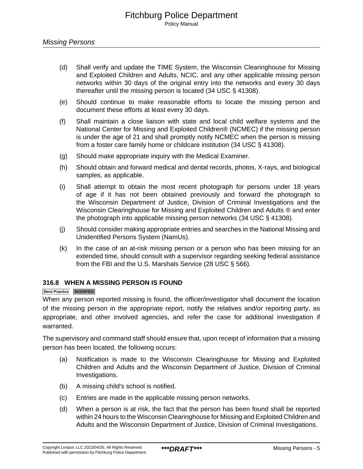- (d) Shall verify and update the TIME System, the Wisconsin Clearinghouse for Missing and Exploited Children and Adults, NCIC, and any other applicable missing person networks within 30 days of the original entry into the networks and every 30 days thereafter until the missing person is located (34 USC § 41308).
- (e) Should continue to make reasonable efforts to locate the missing person and document these efforts at least every 30 days.
- (f) Shall maintain a close liaison with state and local child welfare systems and the National Center for Missing and Exploited Children® (NCMEC) if the missing person is under the age of 21 and shall promptly notify NCMEC when the person is missing from a foster care family home or childcare institution (34 USC § 41308).
- (g) Should make appropriate inquiry with the Medical Examiner.
- (h) Should obtain and forward medical and dental records, photos, X-rays, and biological samples, as applicable.
- (i) Shall attempt to obtain the most recent photograph for persons under 18 years of age if it has not been obtained previously and forward the photograph to the Wisconsin Department of Justice, Division of Criminal Investigations and the Wisconsin Clearinghouse for Missing and Exploited Children and Adults ® and enter the photograph into applicable missing person networks (34 USC § 41308).
- (j) Should consider making appropriate entries and searches in the National Missing and Unidentified Persons System (NamUs).
- (k) In the case of an at-risk missing person or a person who has been missing for an extended time, should consult with a supervisor regarding seeking federal assistance from the FBI and the U.S. Marshals Service (28 USC § 566).

## **316.8 WHEN A MISSING PERSON IS FOUND**

#### **Best Practice MODIFIED**

When any person reported missing is found, the officer/investigator shall document the location of the missing person in the appropriate report, notify the relatives and/or reporting party, as appropriate, and other involved agencies, and refer the case for additional investigation if warranted.

The supervisory and command staff should ensure that, upon receipt of information that a missing person has been located, the following occurs:

- (a) Notification is made to the Wisconsin Clearinghouse for Missing and Exploited Children and Adults and the Wisconsin Department of Justice, Division of Criminal Investigations.
- (b) A missing child's school is notified.
- (c) Entries are made in the applicable missing person networks.
- (d) When a person is at risk, the fact that the person has been found shall be reported within 24 hours to the Wisconsin Clearinghouse for Missing and Exploited Children and Adults and the Wisconsin Department of Justice, Division of Criminal Investigations.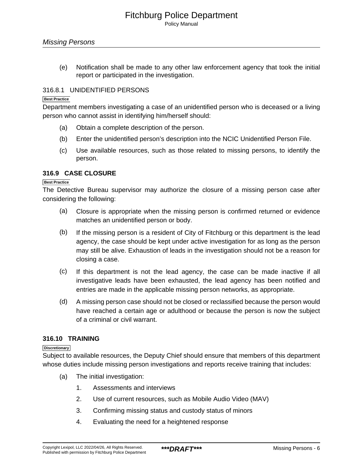(e) Notification shall be made to any other law enforcement agency that took the initial report or participated in the investigation.

## 316.8.1 UNIDENTIFIED PERSONS

#### **Best Practice**

Department members investigating a case of an unidentified person who is deceased or a living person who cannot assist in identifying him/herself should:

- (a) Obtain a complete description of the person.
- (b) Enter the unidentified person's description into the NCIC Unidentified Person File.
- (c) Use available resources, such as those related to missing persons, to identify the person.

## **316.9 CASE CLOSURE**

#### **Best Practice**

The Detective Bureau supervisor may authorize the closure of a missing person case after considering the following:

- (a) Closure is appropriate when the missing person is confirmed returned or evidence matches an unidentified person or body.
- (b) If the missing person is a resident of City of Fitchburg or this department is the lead agency, the case should be kept under active investigation for as long as the person may still be alive. Exhaustion of leads in the investigation should not be a reason for closing a case.
- (c) If this department is not the lead agency, the case can be made inactive if all investigative leads have been exhausted, the lead agency has been notified and entries are made in the applicable missing person networks, as appropriate.
- (d) A missing person case should not be closed or reclassified because the person would have reached a certain age or adulthood or because the person is now the subject of a criminal or civil warrant.

## **316.10 TRAINING**

#### **Discretionary**

Subject to available resources, the Deputy Chief should ensure that members of this department whose duties include missing person investigations and reports receive training that includes:

- (a) The initial investigation:
	- 1. Assessments and interviews
	- 2. Use of current resources, such as Mobile Audio Video (MAV)
	- 3. Confirming missing status and custody status of minors
	- 4. Evaluating the need for a heightened response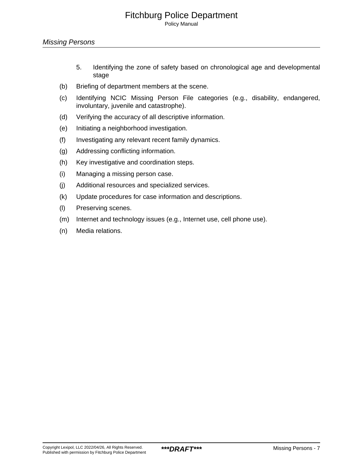Policy Manual

- 5. Identifying the zone of safety based on chronological age and developmental stage
- (b) Briefing of department members at the scene.
- (c) Identifying NCIC Missing Person File categories (e.g., disability, endangered, involuntary, juvenile and catastrophe).
- (d) Verifying the accuracy of all descriptive information.
- (e) Initiating a neighborhood investigation.
- (f) Investigating any relevant recent family dynamics.
- (g) Addressing conflicting information.
- (h) Key investigative and coordination steps.
- (i) Managing a missing person case.
- (j) Additional resources and specialized services.
- (k) Update procedures for case information and descriptions.
- (l) Preserving scenes.
- (m) Internet and technology issues (e.g., Internet use, cell phone use).
- (n) Media relations.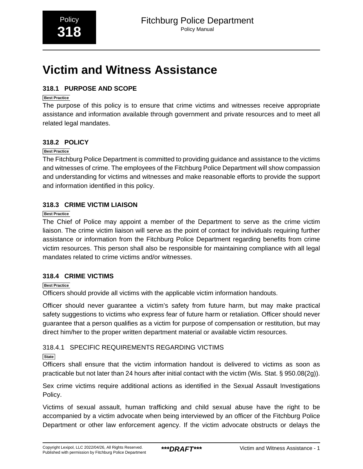# <span id="page-43-0"></span>**Victim and Witness Assistance**

## **318.1 PURPOSE AND SCOPE**

## **Best Practice**

The purpose of this policy is to ensure that crime victims and witnesses receive appropriate assistance and information available through government and private resources and to meet all related legal mandates.

## **318.2 POLICY**

## **Best Practice**

The Fitchburg Police Department is committed to providing guidance and assistance to the victims and witnesses of crime. The employees of the Fitchburg Police Department will show compassion and understanding for victims and witnesses and make reasonable efforts to provide the support and information identified in this policy.

## **318.3 CRIME VICTIM LIAISON**

## **Best Practice**

The Chief of Police may appoint a member of the Department to serve as the crime victim liaison. The crime victim liaison will serve as the point of contact for individuals requiring further assistance or information from the Fitchburg Police Department regarding benefits from crime victim resources. This person shall also be responsible for maintaining compliance with all legal mandates related to crime victims and/or witnesses.

## **318.4 CRIME VICTIMS**

## **Best Practice**

Officers should provide all victims with the applicable victim information handouts.

Officer should never guarantee a victim's safety from future harm, but may make practical safety suggestions to victims who express fear of future harm or retaliation. Officer should never guarantee that a person qualifies as a victim for purpose of compensation or restitution, but may direct him/her to the proper written department material or available victim resources.

## 318.4.1 SPECIFIC REQUIREMENTS REGARDING VICTIMS

## **State**

Officers shall ensure that the victim information handout is delivered to victims as soon as practicable but not later than 24 hours after initial contact with the victim (Wis. Stat. § 950.08(2g)).

Sex crime victims require additional actions as identified in the Sexual Assault Investigations Policy.

Victims of sexual assault, human trafficking and child sexual abuse have the right to be accompanied by a victim advocate when being interviewed by an officer of the Fitchburg Police Department or other law enforcement agency. If the victim advocate obstructs or delays the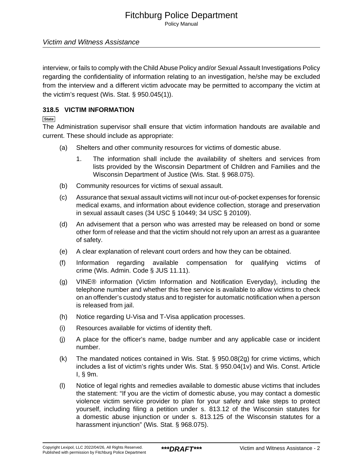Policy Manual

## Victim and Witness Assistance

interview, or fails to comply with the Child Abuse Policy and/or Sexual Assault Investigations Policy regarding the confidentiality of information relating to an investigation, he/she may be excluded from the interview and a different victim advocate may be permitted to accompany the victim at the victim's request (Wis. Stat. § 950.045(1)).

## **318.5 VICTIM INFORMATION**

**State**

The Administration supervisor shall ensure that victim information handouts are available and current. These should include as appropriate:

- (a) Shelters and other community resources for victims of domestic abuse.
	- 1. The information shall include the availability of shelters and services from lists provided by the Wisconsin Department of Children and Families and the Wisconsin Department of Justice (Wis. Stat. § 968.075).
- (b) Community resources for victims of sexual assault.
- (c) Assurance that sexual assault victims will not incur out-of-pocket expenses for forensic medical exams, and information about evidence collection, storage and preservation in sexual assault cases (34 USC § 10449; 34 USC § 20109).
- (d) An advisement that a person who was arrested may be released on bond or some other form of release and that the victim should not rely upon an arrest as a guarantee of safety.
- (e) A clear explanation of relevant court orders and how they can be obtained.
- (f) Information regarding available compensation for qualifying victims of crime (Wis. Admin. Code § JUS 11.11).
- (g) VINE® information (Victim Information and Notification Everyday), including the telephone number and whether this free service is available to allow victims to check on an offender's custody status and to register for automatic notification when a person is released from jail.
- (h) Notice regarding U-Visa and T-Visa application processes.
- (i) Resources available for victims of identity theft.
- (j) A place for the officer's name, badge number and any applicable case or incident number.
- (k) The mandated notices contained in Wis. Stat. § 950.08(2g) for crime victims, which includes a list of victim's rights under Wis. Stat. § 950.04(1v) and Wis. Const. Article I, § 9m.
- (l) Notice of legal rights and remedies available to domestic abuse victims that includes the statement: "If you are the victim of domestic abuse, you may contact a domestic violence victim service provider to plan for your safety and take steps to protect yourself, including filing a petition under s. 813.12 of the Wisconsin statutes for a domestic abuse injunction or under s. 813.125 of the Wisconsin statutes for a harassment injunction" (Wis. Stat. § 968.075).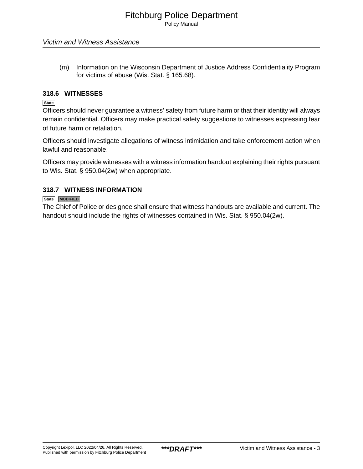(m) Information on the Wisconsin Department of Justice Address Confidentiality Program for victims of abuse (Wis. Stat. § 165.68).

## **318.6 WITNESSES**

**State**

Officers should never guarantee a witness' safety from future harm or that their identity will always remain confidential. Officers may make practical safety suggestions to witnesses expressing fear of future harm or retaliation.

Officers should investigate allegations of witness intimidation and take enforcement action when lawful and reasonable.

Officers may provide witnesses with a witness information handout explaining their rights pursuant to Wis. Stat. § 950.04(2w) when appropriate.

## **318.7 WITNESS INFORMATION**

#### **State MODIFIED**

The Chief of Police or designee shall ensure that witness handouts are available and current. The handout should include the rights of witnesses contained in Wis. Stat. § 950.04(2w).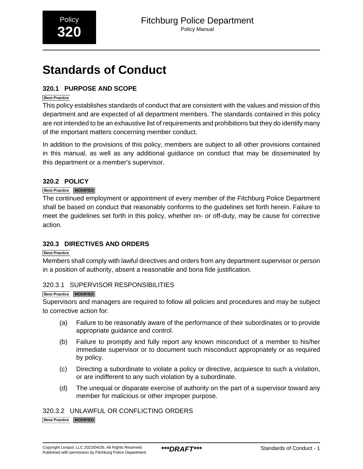# <span id="page-46-0"></span>**Standards of Conduct**

## **320.1 PURPOSE AND SCOPE**

## **Best Practice**

This policy establishes standards of conduct that are consistent with the values and mission of this department and are expected of all department members. The standards contained in this policy are not intended to be an exhaustive list of requirements and prohibitions but they do identify many of the important matters concerning member conduct.

In addition to the provisions of this policy, members are subject to all other provisions contained in this manual, as well as any additional guidance on conduct that may be disseminated by this department or a member's supervisor.

## **320.2 POLICY**

## **Best Practice MODIFIED**

The continued employment or appointment of every member of the Fitchburg Police Department shall be based on conduct that reasonably conforms to the guidelines set forth herein. Failure to meet the guidelines set forth in this policy, whether on- or off-duty, may be cause for corrective action.

## **320.3 DIRECTIVES AND ORDERS**

## **Best Practice**

Members shall comply with lawful directives and orders from any department supervisor or person in a position of authority, absent a reasonable and bona fide justification.

## 320.3.1 SUPERVISOR RESPONSIBILITIES

#### **Best Practice MODIFIED**

Supervisors and managers are required to follow all policies and procedures and may be subject to corrective action for:

- (a) Failure to be reasonably aware of the performance of their subordinates or to provide appropriate guidance and control.
- (b) Failure to promptly and fully report any known misconduct of a member to his/her immediate supervisor or to document such misconduct appropriately or as required by policy.
- (c) Directing a subordinate to violate a policy or directive, acquiesce to such a violation, or are indifferent to any such violation by a subordinate.
- (d) The unequal or disparate exercise of authority on the part of a supervisor toward any member for malicious or other improper purpose.

## 320.3.2 UNLAWFUL OR CONFLICTING ORDERS

**Best Practice MODIFIED**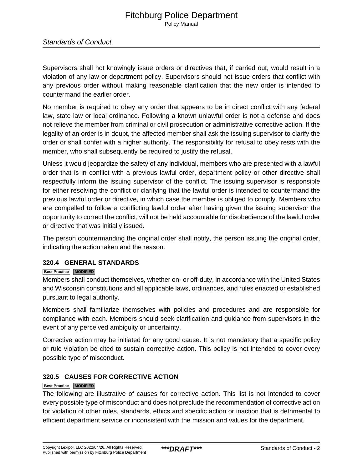## Fitchburg Police Department Policy Manual

## Standards of Conduct

Supervisors shall not knowingly issue orders or directives that, if carried out, would result in a violation of any law or department policy. Supervisors should not issue orders that conflict with any previous order without making reasonable clarification that the new order is intended to countermand the earlier order.

No member is required to obey any order that appears to be in direct conflict with any federal law, state law or local ordinance. Following a known unlawful order is not a defense and does not relieve the member from criminal or civil prosecution or administrative corrective action. If the legality of an order is in doubt, the affected member shall ask the issuing supervisor to clarify the order or shall confer with a higher authority. The responsibility for refusal to obey rests with the member, who shall subsequently be required to justify the refusal.

Unless it would jeopardize the safety of any individual, members who are presented with a lawful order that is in conflict with a previous lawful order, department policy or other directive shall respectfully inform the issuing supervisor of the conflict. The issuing supervisor is responsible for either resolving the conflict or clarifying that the lawful order is intended to countermand the previous lawful order or directive, in which case the member is obliged to comply. Members who are compelled to follow a conflicting lawful order after having given the issuing supervisor the opportunity to correct the conflict, will not be held accountable for disobedience of the lawful order or directive that was initially issued.

The person countermanding the original order shall notify, the person issuing the original order, indicating the action taken and the reason.

## **320.4 GENERAL STANDARDS**

#### **Best Practice MODIFIED**

Members shall conduct themselves, whether on- or off-duty, in accordance with the United States and Wisconsin constitutions and all applicable laws, ordinances, and rules enacted or established pursuant to legal authority.

Members shall familiarize themselves with policies and procedures and are responsible for compliance with each. Members should seek clarification and guidance from supervisors in the event of any perceived ambiguity or uncertainty.

Corrective action may be initiated for any good cause. It is not mandatory that a specific policy or rule violation be cited to sustain corrective action. This policy is not intended to cover every possible type of misconduct.

## **320.5 CAUSES FOR CORRECTIVE ACTION**

#### **Best Practice MODIFIED**

The following are illustrative of causes for corrective action. This list is not intended to cover every possible type of misconduct and does not preclude the recommendation of corrective action for violation of other rules, standards, ethics and specific action or inaction that is detrimental to efficient department service or inconsistent with the mission and values for the department.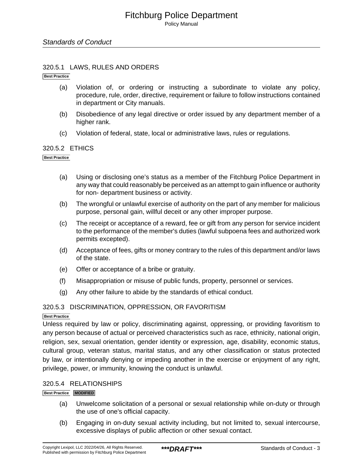### 320.5.1 LAWS, RULES AND ORDERS

**Best Practice**

- (a) Violation of, or ordering or instructing a subordinate to violate any policy, procedure, rule, order, directive, requirement or failure to follow instructions contained in department or City manuals.
- (b) Disobedience of any legal directive or order issued by any department member of a higher rank.
- (c) Violation of federal, state, local or administrative laws, rules or regulations.

## 320.5.2 ETHICS

#### **Best Practice**

- (a) Using or disclosing one's status as a member of the Fitchburg Police Department in any way that could reasonably be perceived as an attempt to gain influence or authority for non- department business or activity.
- (b) The wrongful or unlawful exercise of authority on the part of any member for malicious purpose, personal gain, willful deceit or any other improper purpose.
- (c) The receipt or acceptance of a reward, fee or gift from any person for service incident to the performance of the member's duties (lawful subpoena fees and authorized work permits excepted).
- (d) Acceptance of fees, gifts or money contrary to the rules of this department and/or laws of the state.
- (e) Offer or acceptance of a bribe or gratuity.
- (f) Misappropriation or misuse of public funds, property, personnel or services.
- (g) Any other failure to abide by the standards of ethical conduct.

#### 320.5.3 DISCRIMINATION, OPPRESSION, OR FAVORITISM

#### **Best Practice**

Unless required by law or policy, discriminating against, oppressing, or providing favoritism to any person because of actual or perceived characteristics such as race, ethnicity, national origin, religion, sex, sexual orientation, gender identity or expression, age, disability, economic status, cultural group, veteran status, marital status, and any other classification or status protected by law, or intentionally denying or impeding another in the exercise or enjoyment of any right, privilege, power, or immunity, knowing the conduct is unlawful.

#### 320.5.4 RELATIONSHIPS

#### **Best Practice MODIFIED**

- (a) Unwelcome solicitation of a personal or sexual relationship while on-duty or through the use of one's official capacity.
- (b) Engaging in on-duty sexual activity including, but not limited to, sexual intercourse, excessive displays of public affection or other sexual contact.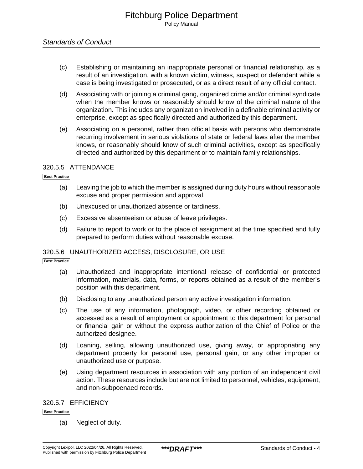## Standards of Conduct

- (c) Establishing or maintaining an inappropriate personal or financial relationship, as a result of an investigation, with a known victim, witness, suspect or defendant while a case is being investigated or prosecuted, or as a direct result of any official contact.
- (d) Associating with or joining a criminal gang, organized crime and/or criminal syndicate when the member knows or reasonably should know of the criminal nature of the organization. This includes any organization involved in a definable criminal activity or enterprise, except as specifically directed and authorized by this department.
- (e) Associating on a personal, rather than official basis with persons who demonstrate recurring involvement in serious violations of state or federal laws after the member knows, or reasonably should know of such criminal activities, except as specifically directed and authorized by this department or to maintain family relationships.

## 320.5.5 ATTENDANCE

**Best Practice**

- (a) Leaving the job to which the member is assigned during duty hours without reasonable excuse and proper permission and approval.
- (b) Unexcused or unauthorized absence or tardiness.
- (c) Excessive absenteeism or abuse of leave privileges.
- (d) Failure to report to work or to the place of assignment at the time specified and fully prepared to perform duties without reasonable excuse.

## 320.5.6 UNAUTHORIZED ACCESS, DISCLOSURE, OR USE

**Best Practice**

- (a) Unauthorized and inappropriate intentional release of confidential or protected information, materials, data, forms, or reports obtained as a result of the member's position with this department.
- (b) Disclosing to any unauthorized person any active investigation information.
- (c) The use of any information, photograph, video, or other recording obtained or accessed as a result of employment or appointment to this department for personal or financial gain or without the express authorization of the Chief of Police or the authorized designee.
- (d) Loaning, selling, allowing unauthorized use, giving away, or appropriating any department property for personal use, personal gain, or any other improper or unauthorized use or purpose.
- (e) Using department resources in association with any portion of an independent civil action. These resources include but are not limited to personnel, vehicles, equipment, and non-subpoenaed records.

#### 320.5.7 EFFICIENCY

**Best Practice**

(a) Neglect of duty.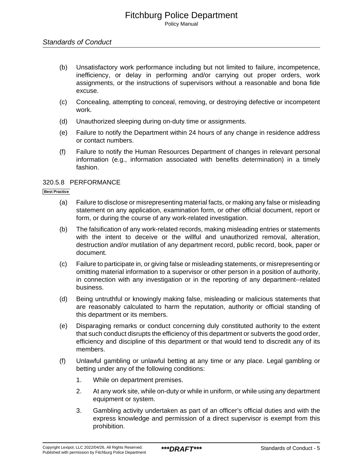- (b) Unsatisfactory work performance including but not limited to failure, incompetence, inefficiency, or delay in performing and/or carrying out proper orders, work assignments, or the instructions of supervisors without a reasonable and bona fide excuse.
- (c) Concealing, attempting to conceal, removing, or destroying defective or incompetent work.
- (d) Unauthorized sleeping during on-duty time or assignments.
- (e) Failure to notify the Department within 24 hours of any change in residence address or contact numbers.
- (f) Failure to notify the Human Resources Department of changes in relevant personal information (e.g., information associated with benefits determination) in a timely fashion.

## 320.5.8 PERFORMANCE

#### **Best Practice**

- (a) Failure to disclose or misrepresenting material facts, or making any false or misleading statement on any application, examination form, or other official document, report or form, or during the course of any work-related investigation.
- (b) The falsification of any work-related records, making misleading entries or statements with the intent to deceive or the willful and unauthorized removal, alteration, destruction and/or mutilation of any department record, public record, book, paper or document.
- (c) Failure to participate in, or giving false or misleading statements, or misrepresenting or omitting material information to a supervisor or other person in a position of authority, in connection with any investigation or in the reporting of any department--related business.
- (d) Being untruthful or knowingly making false, misleading or malicious statements that are reasonably calculated to harm the reputation, authority or official standing of this department or its members.
- (e) Disparaging remarks or conduct concerning duly constituted authority to the extent that such conduct disrupts the efficiency of this department or subverts the good order, efficiency and discipline of this department or that would tend to discredit any of its members.
- (f) Unlawful gambling or unlawful betting at any time or any place. Legal gambling or betting under any of the following conditions:
	- 1. While on department premises.
	- 2. At any work site, while on-duty or while in uniform, or while using any department equipment or system.
	- 3. Gambling activity undertaken as part of an officer's official duties and with the express knowledge and permission of a direct supervisor is exempt from this prohibition.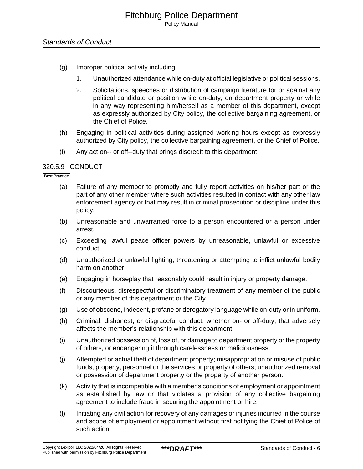- (g) Improper political activity including:
	- 1. Unauthorized attendance while on-duty at official legislative or political sessions.
	- 2. Solicitations, speeches or distribution of campaign literature for or against any political candidate or position while on-duty, on department property or while in any way representing him/herself as a member of this department, except as expressly authorized by City policy, the collective bargaining agreement, or the Chief of Police.
- (h) Engaging in political activities during assigned working hours except as expressly authorized by City policy, the collective bargaining agreement, or the Chief of Police.
- (i) Any act on-- or off--duty that brings discredit to this department.

## 320.5.9 CONDUCT

#### **Best Practice**

- (a) Failure of any member to promptly and fully report activities on his/her part or the part of any other member where such activities resulted in contact with any other law enforcement agency or that may result in criminal prosecution or discipline under this policy.
- (b) Unreasonable and unwarranted force to a person encountered or a person under arrest.
- (c) Exceeding lawful peace officer powers by unreasonable, unlawful or excessive conduct.
- (d) Unauthorized or unlawful fighting, threatening or attempting to inflict unlawful bodily harm on another.
- (e) Engaging in horseplay that reasonably could result in injury or property damage.
- (f) Discourteous, disrespectful or discriminatory treatment of any member of the public or any member of this department or the City.
- (g) Use of obscene, indecent, profane or derogatory language while on-duty or in uniform.
- (h) Criminal, dishonest, or disgraceful conduct, whether on- or off-duty, that adversely affects the member's relationship with this department.
- (i) Unauthorized possession of, loss of, or damage to department property or the property of others, or endangering it through carelessness or maliciousness.
- (j) Attempted or actual theft of department property; misappropriation or misuse of public funds, property, personnel or the services or property of others; unauthorized removal or possession of department property or the property of another person.
- (k) Activity that is incompatible with a member's conditions of employment or appointment as established by law or that violates a provision of any collective bargaining agreement to include fraud in securing the appointment or hire.
- (l) Initiating any civil action for recovery of any damages or injuries incurred in the course and scope of employment or appointment without first notifying the Chief of Police of such action.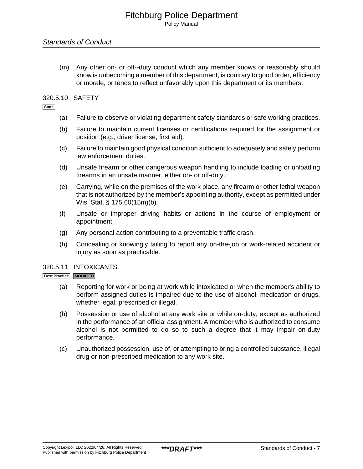(m) Any other on- or off--duty conduct which any member knows or reasonably should know is unbecoming a member of this department, is contrary to good order, efficiency or morale, or tends to reflect unfavorably upon this department or its members.

## 320.5.10 SAFETY

**State**

- (a) Failure to observe or violating department safety standards or safe working practices.
- (b) Failure to maintain current licenses or certifications required for the assignment or position (e.g., driver license, first aid).
- (c) Failure to maintain good physical condition sufficient to adequately and safely perform law enforcement duties.
- (d) Unsafe firearm or other dangerous weapon handling to include loading or unloading firearms in an unsafe manner, either on- or off-duty.
- (e) Carrying, while on the premises of the work place, any firearm or other lethal weapon that is not authorized by the member's appointing authority, except as permitted under Wis. Stat. § 175.60(15m)(b).
- (f) Unsafe or improper driving habits or actions in the course of employment or appointment.
- (g) Any personal action contributing to a preventable traffic crash.
- (h) Concealing or knowingly failing to report any on-the-job or work-related accident or injury as soon as practicable.

#### 320.5.11 INTOXICANTS

#### **Best Practice MODIFIED**

- (a) Reporting for work or being at work while intoxicated or when the member's ability to perform assigned duties is impaired due to the use of alcohol, medication or drugs, whether legal, prescribed or illegal.
- (b) Possession or use of alcohol at any work site or while on-duty, except as authorized in the performance of an official assignment. A member who is authorized to consume alcohol is not permitted to do so to such a degree that it may impair on-duty performance.
- (c) Unauthorized possession, use of, or attempting to bring a controlled substance, illegal drug or non-prescribed medication to any work site.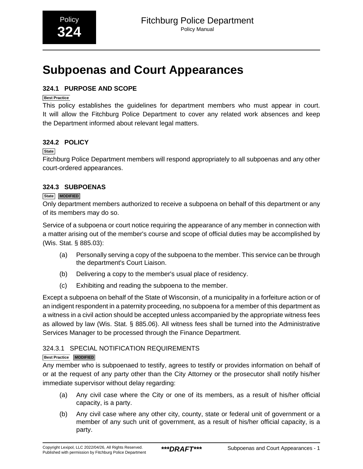# <span id="page-53-0"></span>**Subpoenas and Court Appearances**

## **324.1 PURPOSE AND SCOPE**

## **Best Practice**

This policy establishes the guidelines for department members who must appear in court. It will allow the Fitchburg Police Department to cover any related work absences and keep the Department informed about relevant legal matters.

## **324.2 POLICY**

## **State**

Fitchburg Police Department members will respond appropriately to all subpoenas and any other court-ordered appearances.

## **324.3 SUBPOENAS**

## **State MODIFIED**

Only department members authorized to receive a subpoena on behalf of this department or any of its members may do so.

Service of a subpoena or court notice requiring the appearance of any member in connection with a matter arising out of the member's course and scope of official duties may be accomplished by (Wis. Stat. § 885.03):

- (a) Personally serving a copy of the subpoena to the member. This service can be through the department's Court Liaison.
- (b) Delivering a copy to the member's usual place of residency.
- (c) Exhibiting and reading the subpoena to the member.

Except a subpoena on behalf of the State of Wisconsin, of a municipality in a forfeiture action or of an indigent respondent in a paternity proceeding, no subpoena for a member of this department as a witness in a civil action should be accepted unless accompanied by the appropriate witness fees as allowed by law (Wis. Stat. § 885.06). All witness fees shall be turned into the Administrative Services Manager to be processed through the Finance Department.

## 324.3.1 SPECIAL NOTIFICATION REQUIREMENTS

## **Best Practice MODIFIED**

Any member who is subpoenaed to testify, agrees to testify or provides information on behalf of or at the request of any party other than the City Attorney or the prosecutor shall notify his/her immediate supervisor without delay regarding:

- (a) Any civil case where the City or one of its members, as a result of his/her official capacity, is a party.
- (b) Any civil case where any other city, county, state or federal unit of government or a member of any such unit of government, as a result of his/her official capacity, is a party.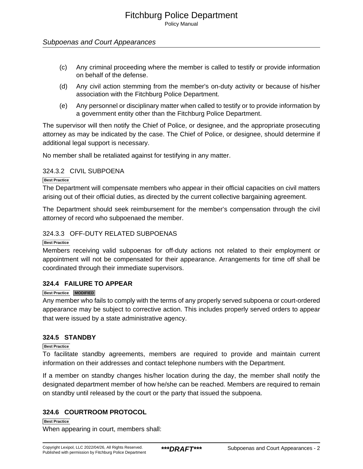## Subpoenas and Court Appearances

- (c) Any criminal proceeding where the member is called to testify or provide information on behalf of the defense.
- (d) Any civil action stemming from the member's on-duty activity or because of his/her association with the Fitchburg Police Department.
- (e) Any personnel or disciplinary matter when called to testify or to provide information by a government entity other than the Fitchburg Police Department.

The supervisor will then notify the Chief of Police, or designee, and the appropriate prosecuting attorney as may be indicated by the case. The Chief of Police, or designee, should determine if additional legal support is necessary.

No member shall be retaliated against for testifying in any matter.

## 324.3.2 CIVIL SUBPOENA

#### **Best Practice**

The Department will compensate members who appear in their official capacities on civil matters arising out of their official duties, as directed by the current collective bargaining agreement.

The Department should seek reimbursement for the member's compensation through the civil attorney of record who subpoenaed the member.

## 324.3.3 OFF-DUTY RELATED SUBPOENAS

#### **Best Practice**

Members receiving valid subpoenas for off-duty actions not related to their employment or appointment will not be compensated for their appearance. Arrangements for time off shall be coordinated through their immediate supervisors.

## **324.4 FAILURE TO APPEAR**

#### **Best Practice MODIFIED**

Any member who fails to comply with the terms of any properly served subpoena or court-ordered appearance may be subject to corrective action. This includes properly served orders to appear that were issued by a state administrative agency.

#### **324.5 STANDBY**

## **Best Practice**

To facilitate standby agreements, members are required to provide and maintain current information on their addresses and contact telephone numbers with the Department.

If a member on standby changes his/her location during the day, the member shall notify the designated department member of how he/she can be reached. Members are required to remain on standby until released by the court or the party that issued the subpoena.

## **324.6 COURTROOM PROTOCOL**

**Best Practice** When appearing in court, members shall: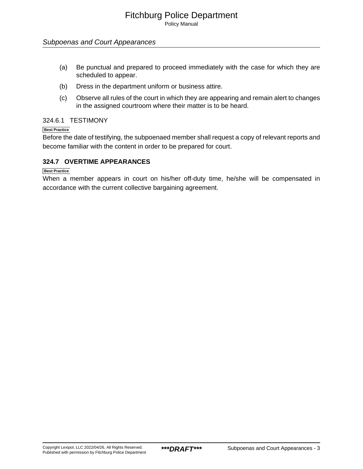## Subpoenas and Court Appearances

- (a) Be punctual and prepared to proceed immediately with the case for which they are scheduled to appear.
- (b) Dress in the department uniform or business attire.
- (c) Observe all rules of the court in which they are appearing and remain alert to changes in the assigned courtroom where their matter is to be heard.

## 324.6.1 TESTIMONY

## **Best Practice**

Before the date of testifying, the subpoenaed member shall request a copy of relevant reports and become familiar with the content in order to be prepared for court.

## **324.7 OVERTIME APPEARANCES**

#### **Best Practice**

When a member appears in court on his/her off-duty time, he/she will be compensated in accordance with the current collective bargaining agreement.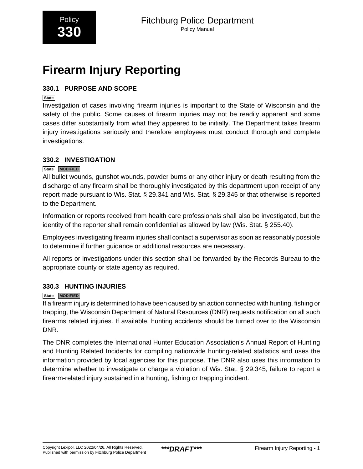# <span id="page-56-0"></span>**Firearm Injury Reporting**

## **330.1 PURPOSE AND SCOPE**

## **State**

Investigation of cases involving firearm injuries is important to the State of Wisconsin and the safety of the public. Some causes of firearm injuries may not be readily apparent and some cases differ substantially from what they appeared to be initially. The Department takes firearm injury investigations seriously and therefore employees must conduct thorough and complete investigations.

## **330.2 INVESTIGATION**

## **State MODIFIED**

All bullet wounds, gunshot wounds, powder burns or any other injury or death resulting from the discharge of any firearm shall be thoroughly investigated by this department upon receipt of any report made pursuant to Wis. Stat. § 29.341 and Wis. Stat. § 29.345 or that otherwise is reported to the Department.

Information or reports received from health care professionals shall also be investigated, but the identity of the reporter shall remain confidential as allowed by law (Wis. Stat. § 255.40).

Employees investigating firearm injuries shall contact a supervisor as soon as reasonably possible to determine if further guidance or additional resources are necessary.

All reports or investigations under this section shall be forwarded by the Records Bureau to the appropriate county or state agency as required.

## **330.3 HUNTING INJURIES**

## **State MODIFIED**

If a firearm injury is determined to have been caused by an action connected with hunting, fishing or trapping, the Wisconsin Department of Natural Resources (DNR) requests notification on all such firearms related injuries. If available, hunting accidents should be turned over to the Wisconsin DNR.

The DNR completes the International Hunter Education Association's Annual Report of Hunting and Hunting Related Incidents for compiling nationwide hunting-related statistics and uses the information provided by local agencies for this purpose. The DNR also uses this information to determine whether to investigate or charge a violation of Wis. Stat. § 29.345, failure to report a firearm-related injury sustained in a hunting, fishing or trapping incident.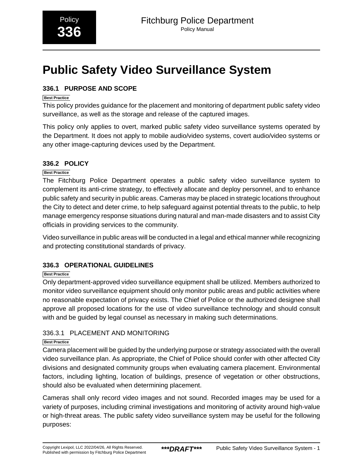# <span id="page-57-0"></span>**Public Safety Video Surveillance System**

## **336.1 PURPOSE AND SCOPE**

## **Best Practice**

This policy provides guidance for the placement and monitoring of department public safety video surveillance, as well as the storage and release of the captured images.

This policy only applies to overt, marked public safety video surveillance systems operated by the Department. It does not apply to mobile audio/video systems, covert audio/video systems or any other image-capturing devices used by the Department.

## **336.2 POLICY**

## **Best Practice**

The Fitchburg Police Department operates a public safety video surveillance system to complement its anti-crime strategy, to effectively allocate and deploy personnel, and to enhance public safety and security in public areas. Cameras may be placed in strategic locations throughout the City to detect and deter crime, to help safeguard against potential threats to the public, to help manage emergency response situations during natural and man-made disasters and to assist City officials in providing services to the community.

Video surveillance in public areas will be conducted in a legal and ethical manner while recognizing and protecting constitutional standards of privacy.

## **336.3 OPERATIONAL GUIDELINES**

## **Best Practice**

Only department-approved video surveillance equipment shall be utilized. Members authorized to monitor video surveillance equipment should only monitor public areas and public activities where no reasonable expectation of privacy exists. The Chief of Police or the authorized designee shall approve all proposed locations for the use of video surveillance technology and should consult with and be guided by legal counsel as necessary in making such determinations.

## 336.3.1 PLACEMENT AND MONITORING

## **Best Practice**

Camera placement will be guided by the underlying purpose or strategy associated with the overall video surveillance plan. As appropriate, the Chief of Police should confer with other affected City divisions and designated community groups when evaluating camera placement. Environmental factors, including lighting, location of buildings, presence of vegetation or other obstructions, should also be evaluated when determining placement.

Cameras shall only record video images and not sound. Recorded images may be used for a variety of purposes, including criminal investigations and monitoring of activity around high-value or high-threat areas. The public safety video surveillance system may be useful for the following purposes: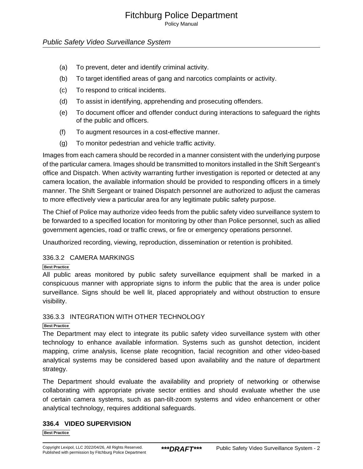Policy Manual

## Public Safety Video Surveillance System

- (a) To prevent, deter and identify criminal activity.
- (b) To target identified areas of gang and narcotics complaints or activity.
- (c) To respond to critical incidents.
- (d) To assist in identifying, apprehending and prosecuting offenders.
- (e) To document officer and offender conduct during interactions to safeguard the rights of the public and officers.
- (f) To augment resources in a cost-effective manner.
- (g) To monitor pedestrian and vehicle traffic activity.

Images from each camera should be recorded in a manner consistent with the underlying purpose of the particular camera. Images should be transmitted to monitors installed in the Shift Sergeant's office and Dispatch. When activity warranting further investigation is reported or detected at any camera location, the available information should be provided to responding officers in a timely manner. The Shift Sergeant or trained Dispatch personnel are authorized to adjust the cameras to more effectively view a particular area for any legitimate public safety purpose.

The Chief of Police may authorize video feeds from the public safety video surveillance system to be forwarded to a specified location for monitoring by other than Police personnel, such as allied government agencies, road or traffic crews, or fire or emergency operations personnel.

Unauthorized recording, viewing, reproduction, dissemination or retention is prohibited.

## 336.3.2 CAMERA MARKINGS

#### **Best Practice**

All public areas monitored by public safety surveillance equipment shall be marked in a conspicuous manner with appropriate signs to inform the public that the area is under police surveillance. Signs should be well lit, placed appropriately and without obstruction to ensure visibility.

## 336.3.3 INTEGRATION WITH OTHER TECHNOLOGY

#### **Best Practice**

The Department may elect to integrate its public safety video surveillance system with other technology to enhance available information. Systems such as gunshot detection, incident mapping, crime analysis, license plate recognition, facial recognition and other video-based analytical systems may be considered based upon availability and the nature of department strategy.

The Department should evaluate the availability and propriety of networking or otherwise collaborating with appropriate private sector entities and should evaluate whether the use of certain camera systems, such as pan-tilt-zoom systems and video enhancement or other analytical technology, requires additional safeguards.

## **336.4 VIDEO SUPERVISION**

**Best Practice**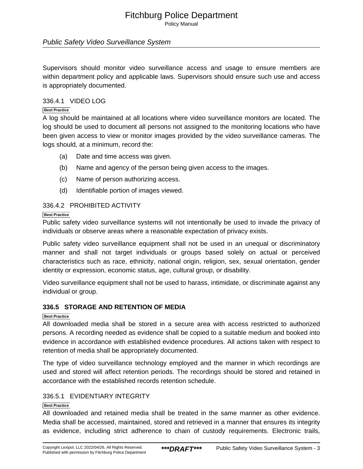Policy Manual

## Public Safety Video Surveillance System

Supervisors should monitor video surveillance access and usage to ensure members are within department policy and applicable laws. Supervisors should ensure such use and access is appropriately documented.

## 336.4.1 VIDEO LOG

#### **Best Practice**

A log should be maintained at all locations where video surveillance monitors are located. The log should be used to document all persons not assigned to the monitoring locations who have been given access to view or monitor images provided by the video surveillance cameras. The logs should, at a minimum, record the:

- (a) Date and time access was given.
- (b) Name and agency of the person being given access to the images.
- (c) Name of person authorizing access.
- (d) Identifiable portion of images viewed.

## 336.4.2 PROHIBITED ACTIVITY

#### **Best Practice**

Public safety video surveillance systems will not intentionally be used to invade the privacy of individuals or observe areas where a reasonable expectation of privacy exists.

Public safety video surveillance equipment shall not be used in an unequal or discriminatory manner and shall not target individuals or groups based solely on actual or perceived characteristics such as race, ethnicity, national origin, religion, sex, sexual orientation, gender identity or expression, economic status, age, cultural group, or disability.

Video surveillance equipment shall not be used to harass, intimidate, or discriminate against any individual or group.

## **336.5 STORAGE AND RETENTION OF MEDIA**

#### **Best Practice**

All downloaded media shall be stored in a secure area with access restricted to authorized persons. A recording needed as evidence shall be copied to a suitable medium and booked into evidence in accordance with established evidence procedures. All actions taken with respect to retention of media shall be appropriately documented.

The type of video surveillance technology employed and the manner in which recordings are used and stored will affect retention periods. The recordings should be stored and retained in accordance with the established records retention schedule.

## 336.5.1 EVIDENTIARY INTEGRITY

#### **Best Practice**

All downloaded and retained media shall be treated in the same manner as other evidence. Media shall be accessed, maintained, stored and retrieved in a manner that ensures its integrity as evidence, including strict adherence to chain of custody requirements. Electronic trails,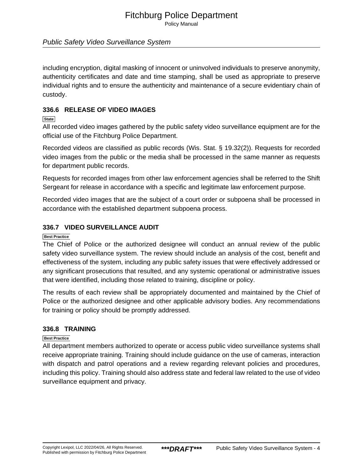Policy Manual

## Public Safety Video Surveillance System

including encryption, digital masking of innocent or uninvolved individuals to preserve anonymity, authenticity certificates and date and time stamping, shall be used as appropriate to preserve individual rights and to ensure the authenticity and maintenance of a secure evidentiary chain of custody.

## **336.6 RELEASE OF VIDEO IMAGES**

## **State**

All recorded video images gathered by the public safety video surveillance equipment are for the official use of the Fitchburg Police Department.

Recorded videos are classified as public records (Wis. Stat. § 19.32(2)). Requests for recorded video images from the public or the media shall be processed in the same manner as requests for department public records.

Requests for recorded images from other law enforcement agencies shall be referred to the Shift Sergeant for release in accordance with a specific and legitimate law enforcement purpose.

Recorded video images that are the subject of a court order or subpoena shall be processed in accordance with the established department subpoena process.

## **336.7 VIDEO SURVEILLANCE AUDIT**

## **Best Practice**

The Chief of Police or the authorized designee will conduct an annual review of the public safety video surveillance system. The review should include an analysis of the cost, benefit and effectiveness of the system, including any public safety issues that were effectively addressed or any significant prosecutions that resulted, and any systemic operational or administrative issues that were identified, including those related to training, discipline or policy.

The results of each review shall be appropriately documented and maintained by the Chief of Police or the authorized designee and other applicable advisory bodies. Any recommendations for training or policy should be promptly addressed.

## **336.8 TRAINING**

#### **Best Practice**

All department members authorized to operate or access public video surveillance systems shall receive appropriate training. Training should include guidance on the use of cameras, interaction with dispatch and patrol operations and a review regarding relevant policies and procedures, including this policy. Training should also address state and federal law related to the use of video surveillance equipment and privacy.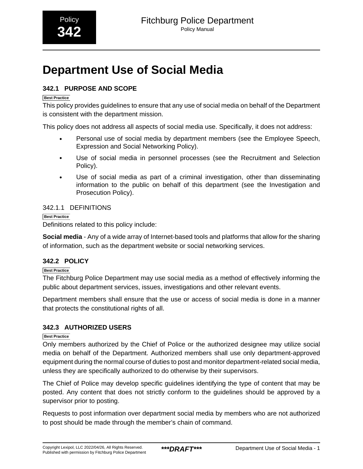# <span id="page-61-0"></span>**Department Use of Social Media**

## **342.1 PURPOSE AND SCOPE**

## **Best Practice**

This policy provides guidelines to ensure that any use of social media on behalf of the Department is consistent with the department mission.

This policy does not address all aspects of social media use. Specifically, it does not address:

- Personal use of social media by department members (see the Employee Speech, Expression and Social Networking Policy).
- Use of social media in personnel processes (see the Recruitment and Selection Policy).
- Use of social media as part of a criminal investigation, other than disseminating information to the public on behalf of this department (see the Investigation and Prosecution Policy).

## 342.1.1 DEFINITIONS

**Best Practice** Definitions related to this policy include:

**Social media** - Any of a wide array of Internet-based tools and platforms that allow for the sharing of information, such as the department website or social networking services.

## **342.2 POLICY**

**Best Practice**

The Fitchburg Police Department may use social media as a method of effectively informing the public about department services, issues, investigations and other relevant events.

Department members shall ensure that the use or access of social media is done in a manner that protects the constitutional rights of all.

## **342.3 AUTHORIZED USERS**

**Best Practice**

Only members authorized by the Chief of Police or the authorized designee may utilize social media on behalf of the Department. Authorized members shall use only department-approved equipment during the normal course of duties to post and monitor department-related social media, unless they are specifically authorized to do otherwise by their supervisors.

The Chief of Police may develop specific guidelines identifying the type of content that may be posted. Any content that does not strictly conform to the guidelines should be approved by a supervisor prior to posting.

Requests to post information over department social media by members who are not authorized to post should be made through the member's chain of command.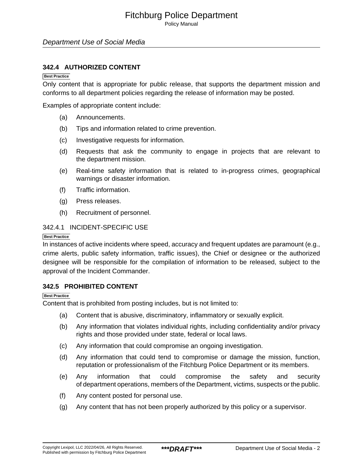Policy Manual

## Department Use of Social Media

## **342.4 AUTHORIZED CONTENT**

#### **Best Practice**

Only content that is appropriate for public release, that supports the department mission and conforms to all department policies regarding the release of information may be posted.

Examples of appropriate content include:

- (a) Announcements.
- (b) Tips and information related to crime prevention.
- (c) Investigative requests for information.
- (d) Requests that ask the community to engage in projects that are relevant to the department mission.
- (e) Real-time safety information that is related to in-progress crimes, geographical warnings or disaster information.
- (f) Traffic information.
- (g) Press releases.
- (h) Recruitment of personnel.

## 342.4.1 INCIDENT-SPECIFIC USE

#### **Best Practice**

In instances of active incidents where speed, accuracy and frequent updates are paramount (e.g., crime alerts, public safety information, traffic issues), the Chief or designee or the authorized designee will be responsible for the compilation of information to be released, subject to the approval of the Incident Commander.

## **342.5 PROHIBITED CONTENT**

#### **Best Practice**

Content that is prohibited from posting includes, but is not limited to:

- (a) Content that is abusive, discriminatory, inflammatory or sexually explicit.
- (b) Any information that violates individual rights, including confidentiality and/or privacy rights and those provided under state, federal or local laws.
- (c) Any information that could compromise an ongoing investigation.
- (d) Any information that could tend to compromise or damage the mission, function, reputation or professionalism of the Fitchburg Police Department or its members.
- (e) Any information that could compromise the safety and security of department operations, members of the Department, victims, suspects or the public.
- (f) Any content posted for personal use.
- (g) Any content that has not been properly authorized by this policy or a supervisor.